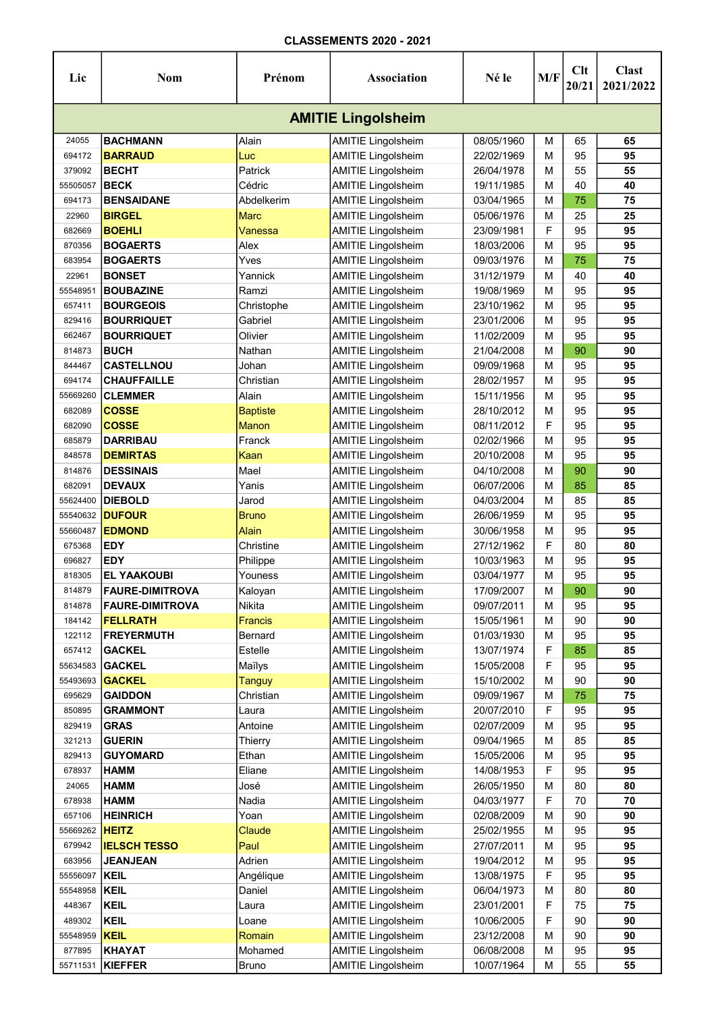| Lic                       | Nom                    | Prénom          | <b>Association</b>        | Né le      | M/F | Clt<br>20/21 | <b>Clast</b><br>2021/2022 |  |  |  |  |
|---------------------------|------------------------|-----------------|---------------------------|------------|-----|--------------|---------------------------|--|--|--|--|
| <b>AMITIE Lingolsheim</b> |                        |                 |                           |            |     |              |                           |  |  |  |  |
| 24055                     | <b>BACHMANN</b>        | Alain           | <b>AMITIE Lingolsheim</b> | 08/05/1960 | м   | 65           | 65                        |  |  |  |  |
| 694172                    | <b>BARRAUD</b>         | Luc             | <b>AMITIE Lingolsheim</b> | 22/02/1969 | м   | 95           | 95                        |  |  |  |  |
| 379092                    | <b>BECHT</b>           | Patrick         | <b>AMITIE Lingolsheim</b> | 26/04/1978 | М   | 55           | 55                        |  |  |  |  |
| 55505057                  | <b>BECK</b>            | Cédric          | <b>AMITIE Lingolsheim</b> | 19/11/1985 | М   | 40           | 40                        |  |  |  |  |
| 694173                    | <b>BENSAIDANE</b>      | Abdelkerim      | <b>AMITIE Lingolsheim</b> | 03/04/1965 | М   | 75           | 75                        |  |  |  |  |
| 22960                     | <b>BIRGEL</b>          | <b>Marc</b>     | <b>AMITIE Lingolsheim</b> | 05/06/1976 | M   | 25           | 25                        |  |  |  |  |
| 682669                    | <b>BOEHLI</b>          | Vanessa         | <b>AMITIE Lingolsheim</b> | 23/09/1981 | F   | 95           | 95                        |  |  |  |  |
| 870356                    | <b>BOGAERTS</b>        | Alex            | <b>AMITIE Lingolsheim</b> | 18/03/2006 | м   | 95           | 95                        |  |  |  |  |
| 683954                    | <b>BOGAERTS</b>        | Yves            | <b>AMITIE Lingolsheim</b> | 09/03/1976 | м   | 75           | 75                        |  |  |  |  |
| 22961                     | <b>BONSET</b>          | Yannick         | <b>AMITIE Lingolsheim</b> | 31/12/1979 | м   | 40           | 40                        |  |  |  |  |
| 55548951                  | <b>BOUBAZINE</b>       | Ramzi           | <b>AMITIE Lingolsheim</b> | 19/08/1969 | м   | 95           | 95                        |  |  |  |  |
| 657411                    | <b>BOURGEOIS</b>       | Christophe      | <b>AMITIE Lingolsheim</b> | 23/10/1962 | М   | 95           | 95                        |  |  |  |  |
| 829416                    | <b>BOURRIQUET</b>      | Gabriel         | <b>AMITIE Lingolsheim</b> | 23/01/2006 | м   | 95           | 95                        |  |  |  |  |
| 662467                    | <b>BOURRIQUET</b>      | Olivier         | <b>AMITIE Lingolsheim</b> | 11/02/2009 | М   | 95           | 95                        |  |  |  |  |
| 814873                    | <b>BUCH</b>            | Nathan          | <b>AMITIE Lingolsheim</b> | 21/04/2008 | м   | 90           | 90                        |  |  |  |  |
| 844467                    | <b>CASTELLNOU</b>      | Johan           | <b>AMITIE Lingolsheim</b> | 09/09/1968 | м   | 95           | 95                        |  |  |  |  |
| 694174                    | <b>CHAUFFAILLE</b>     | Christian       | <b>AMITIE Lingolsheim</b> | 28/02/1957 | M   | 95           | 95                        |  |  |  |  |
| 55669260                  | <b>CLEMMER</b>         | Alain           | <b>AMITIE Lingolsheim</b> | 15/11/1956 | M   | 95           | 95                        |  |  |  |  |
| 682089                    | <b>COSSE</b>           | <b>Baptiste</b> | <b>AMITIE Lingolsheim</b> | 28/10/2012 | м   | 95           | 95                        |  |  |  |  |
| 682090                    | <b>COSSE</b>           | Manon           | <b>AMITIE Lingolsheim</b> | 08/11/2012 | F   | 95           | 95                        |  |  |  |  |
| 685879                    | <b>DARRIBAU</b>        | Franck          | <b>AMITIE Lingolsheim</b> | 02/02/1966 | M   | 95           | 95                        |  |  |  |  |
|                           |                        |                 |                           |            |     | 95           | 95                        |  |  |  |  |
| 848578                    | <b>DEMIRTAS</b>        | Kaan            | <b>AMITIE Lingolsheim</b> | 20/10/2008 | м   |              |                           |  |  |  |  |
| 814876                    | <b>DESSINAIS</b>       | Mael            | <b>AMITIE Lingolsheim</b> | 04/10/2008 | M   | 90           | 90                        |  |  |  |  |
| 682091                    | <b>DEVAUX</b>          | Yanis           | <b>AMITIE Lingolsheim</b> | 06/07/2006 | м   | 85           | 85                        |  |  |  |  |
| 55624400                  | <b>DIEBOLD</b>         | Jarod           | <b>AMITIE Lingolsheim</b> | 04/03/2004 | м   | 85           | 85                        |  |  |  |  |
| 55540632                  | <b>DUFOUR</b>          | <b>Bruno</b>    | <b>AMITIE Lingolsheim</b> | 26/06/1959 | м   | 95           | 95                        |  |  |  |  |
| 55660487                  | <b>EDMOND</b>          | Alain           | <b>AMITIE Lingolsheim</b> | 30/06/1958 | М   | 95           | 95                        |  |  |  |  |
| 675368                    | <b>EDY</b>             | Christine       | <b>AMITIE Lingolsheim</b> | 27/12/1962 | F   | 80           | 80                        |  |  |  |  |
| 696827                    | <b>EDY</b>             | Philippe        | <b>AMITIE Lingolsheim</b> | 10/03/1963 | М   | 95           | 95                        |  |  |  |  |
| 818305                    | <b>EL YAAKOUBI</b>     | Youness         | <b>AMITIE Lingolsheim</b> | 03/04/1977 | м   | 95           | 95                        |  |  |  |  |
| 814879                    | <b>FAURE-DIMITROVA</b> | Kaloyan         | <b>AMITIE Lingolsheim</b> | 17/09/2007 | M   | 90           | 90                        |  |  |  |  |
| 814878                    | <b>FAURE-DIMITROVA</b> | Nikita          | <b>AMITIE Lingolsheim</b> | 09/07/2011 | м   | 95           | 95                        |  |  |  |  |
| 184142                    | <b>FELLRATH</b>        | Francis         | <b>AMITIE Lingolsheim</b> | 15/05/1961 | M   | 90           | 90                        |  |  |  |  |
| 122112                    | <b>FREYERMUTH</b>      | Bernard         | <b>AMITIE Lingolsheim</b> | 01/03/1930 | M   | 95           | 95                        |  |  |  |  |
| 657412                    | <b>GACKEL</b>          | Estelle         | <b>AMITIE Lingolsheim</b> | 13/07/1974 | F   | 85           | 85                        |  |  |  |  |
| 55634583                  | <b>GACKEL</b>          | Maïlys          | <b>AMITIE Lingolsheim</b> | 15/05/2008 | F   | 95           | 95                        |  |  |  |  |
| 55493693                  | <b>GACKEL</b>          | <b>Tanguy</b>   | <b>AMITIE Lingolsheim</b> | 15/10/2002 | M   | 90           | 90                        |  |  |  |  |
| 695629                    | <b>GAIDDON</b>         | Christian       | <b>AMITIE Lingolsheim</b> | 09/09/1967 | М   | 75           | 75                        |  |  |  |  |
| 850895                    | <b>GRAMMONT</b>        | Laura           | <b>AMITIE Lingolsheim</b> | 20/07/2010 | F   | 95           | 95                        |  |  |  |  |
| 829419                    | <b>GRAS</b>            | Antoine         | <b>AMITIE Lingolsheim</b> | 02/07/2009 | M   | 95           | 95                        |  |  |  |  |
| 321213                    | <b>GUERIN</b>          | Thierry         | <b>AMITIE Lingolsheim</b> | 09/04/1965 | M   | 85           | 85                        |  |  |  |  |
| 829413                    | <b>GUYOMARD</b>        | Ethan           | <b>AMITIE Lingolsheim</b> | 15/05/2006 | M   | 95           | 95                        |  |  |  |  |
| 678937                    | <b>HAMM</b>            | Eliane          | <b>AMITIE Lingolsheim</b> | 14/08/1953 | F   | 95           | 95                        |  |  |  |  |
| 24065                     | <b>HAMM</b>            | José            | <b>AMITIE Lingolsheim</b> | 26/05/1950 | м   | 80           | 80                        |  |  |  |  |
| 678938                    | <b>HAMM</b>            | Nadia           | <b>AMITIE Lingolsheim</b> | 04/03/1977 | F   | 70           | 70                        |  |  |  |  |
| 657106                    | <b>HEINRICH</b>        | Yoan            | <b>AMITIE Lingolsheim</b> | 02/08/2009 | м   | 90           | 90                        |  |  |  |  |
| 55669262                  | <b>HEITZ</b>           | Claude          | <b>AMITIE Lingolsheim</b> | 25/02/1955 | м   | 95           | 95                        |  |  |  |  |
| 679942                    | <b>IELSCH TESSO</b>    | Paul            | <b>AMITIE Lingolsheim</b> | 27/07/2011 | M   | 95           | 95                        |  |  |  |  |
| 683956                    | <b>JEANJEAN</b>        | Adrien          | <b>AMITIE Lingolsheim</b> | 19/04/2012 | M   | 95           | 95                        |  |  |  |  |
| 55556097                  | <b>KEIL</b>            | Angélique       | <b>AMITIE Lingolsheim</b> | 13/08/1975 | F   | 95           | 95                        |  |  |  |  |
| 55548958                  | <b>KEIL</b>            | Daniel          | <b>AMITIE Lingolsheim</b> | 06/04/1973 | M   | 80           | 80                        |  |  |  |  |
| 448367                    | <b>KEIL</b>            | Laura           | <b>AMITIE Lingolsheim</b> | 23/01/2001 | F   | 75           | 75                        |  |  |  |  |
| 489302                    | <b>KEIL</b>            | Loane           | <b>AMITIE Lingolsheim</b> | 10/06/2005 | F   | 90           | 90                        |  |  |  |  |
| 55548959                  | <b>KEIL</b>            | Romain          | <b>AMITIE Lingolsheim</b> | 23/12/2008 | M   | 90           | 90                        |  |  |  |  |
| 877895                    | KHAYAT                 | Mohamed         | <b>AMITIE Lingolsheim</b> | 06/08/2008 | М   | 95           | 95                        |  |  |  |  |
| 55711531                  | KIEFFER                | <b>Bruno</b>    | <b>AMITIE Lingolsheim</b> | 10/07/1964 | М   | 55           | 55                        |  |  |  |  |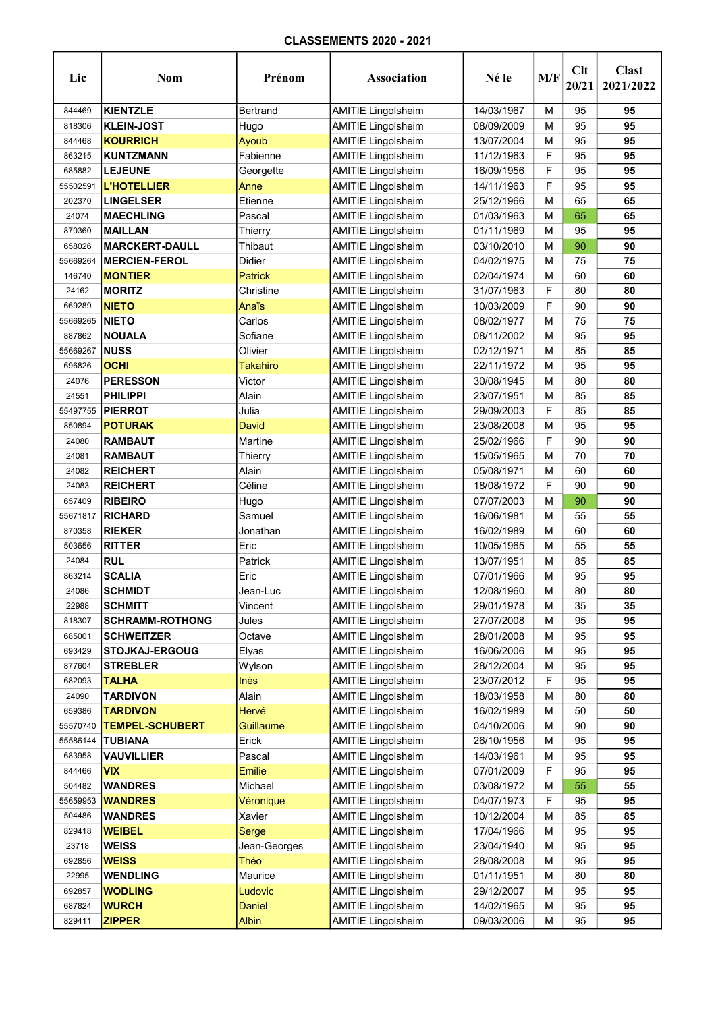| Lic      | <b>Nom</b>             | Prénom           | Association               | Né le      | M/F | Clt<br>20/21 | <b>Clast</b><br>2021/2022 |
|----------|------------------------|------------------|---------------------------|------------|-----|--------------|---------------------------|
| 844469   | <b>KIENTZLE</b>        | Bertrand         | <b>AMITIE Lingolsheim</b> | 14/03/1967 | М   | 95           | 95                        |
| 818306   | <b>KLEIN-JOST</b>      | Hugo             | <b>AMITIE Lingolsheim</b> | 08/09/2009 | м   | 95           | 95                        |
| 844468   | <b>KOURRICH</b>        | Ayoub            | <b>AMITIE Lingolsheim</b> | 13/07/2004 | м   | 95           | 95                        |
| 863215   | KUNTZMANN              | Fabienne         | <b>AMITIE Lingolsheim</b> | 11/12/1963 | F   | 95           | 95                        |
| 685882   | <b>LEJEUNE</b>         | Georgette        | <b>AMITIE Lingolsheim</b> | 16/09/1956 | F   | 95           | 95                        |
| 55502591 | <b>L'HOTELLIER</b>     | Anne             | <b>AMITIE Lingolsheim</b> | 14/11/1963 | F   | 95           | 95                        |
| 202370   | <b>LINGELSER</b>       | Etienne          | <b>AMITIE Lingolsheim</b> | 25/12/1966 | M   | 65           | 65                        |
| 24074    | <b>MAECHLING</b>       | Pascal           | <b>AMITIE Lingolsheim</b> | 01/03/1963 | м   | 65           | 65                        |
| 870360   | <b>MAILLAN</b>         | Thierry          | <b>AMITIE Lingolsheim</b> | 01/11/1969 | м   | 95           | 95                        |
| 658026   | <b>MARCKERT-DAULL</b>  | Thibaut          | <b>AMITIE Lingolsheim</b> | 03/10/2010 | М   | 90           | 90                        |
| 55669264 | <b>MERCIEN-FEROL</b>   | Didier           | <b>AMITIE Lingolsheim</b> | 04/02/1975 | М   | 75           | 75                        |
| 146740   | <b>MONTIER</b>         | Patrick          | <b>AMITIE Lingolsheim</b> | 02/04/1974 | м   | 60           | 60                        |
| 24162    | <b>MORITZ</b>          | Christine        | <b>AMITIE Lingolsheim</b> | 31/07/1963 | F   | 80           | 80                        |
| 669289   | <b>NIETO</b>           | Anaïs            | <b>AMITIE Lingolsheim</b> | 10/03/2009 | F   | 90           | 90                        |
| 55669265 | <b>NIETO</b>           | Carlos           | <b>AMITIE Lingolsheim</b> | 08/02/1977 | м   | 75           | 75                        |
| 887862   | <b>NOUALA</b>          | Sofiane          | <b>AMITIE Lingolsheim</b> | 08/11/2002 | М   | 95           | 95                        |
| 55669267 | <b>NUSS</b>            | Olivier          | <b>AMITIE Lingolsheim</b> | 02/12/1971 | м   | 85           | 85                        |
| 696826   | <b>OCHI</b>            | Takahiro         | <b>AMITIE Lingolsheim</b> | 22/11/1972 | м   | 95           | 95                        |
| 24076    | <b>PERESSON</b>        | Victor           | <b>AMITIE Lingolsheim</b> | 30/08/1945 | м   | 80           | 80                        |
| 24551    | PHILIPPI               | Alain            | <b>AMITIE Lingolsheim</b> | 23/07/1951 | М   | 85           | 85                        |
| 55497755 | <b>PIERROT</b>         | Julia            | <b>AMITIE Lingolsheim</b> | 29/09/2003 | F   | 85           | 85                        |
| 850894   | <b>POTURAK</b>         | David            | <b>AMITIE Lingolsheim</b> | 23/08/2008 | М   | 95           | 95                        |
| 24080    | <b>RAMBAUT</b>         | Martine          | <b>AMITIE Lingolsheim</b> | 25/02/1966 | F   | 90           | 90                        |
| 24081    | <b>RAMBAUT</b>         | Thierry          | <b>AMITIE Lingolsheim</b> | 15/05/1965 | М   | 70           | 70                        |
| 24082    | <b>REICHERT</b>        | Alain            | <b>AMITIE Lingolsheim</b> | 05/08/1971 | M   | 60           | 60                        |
| 24083    | <b>REICHERT</b>        | Céline           | <b>AMITIE Lingolsheim</b> | 18/08/1972 | F   | 90           | 90                        |
| 657409   | <b>RIBEIRO</b>         | Hugo             | <b>AMITIE Lingolsheim</b> | 07/07/2003 | М   | 90           | 90                        |
| 55671817 | <b>RICHARD</b>         | Samuel           | <b>AMITIE Lingolsheim</b> | 16/06/1981 | м   | 55           | 55                        |
| 870358   | <b>RIEKER</b>          | Jonathan         | <b>AMITIE Lingolsheim</b> | 16/02/1989 | м   | 60           | 60                        |
| 503656   | <b>RITTER</b>          | Eric             | <b>AMITIE Lingolsheim</b> | 10/05/1965 | м   | 55           | 55                        |
| 24084    | <b>RUL</b>             | Patrick          | <b>AMITIE Lingolsheim</b> | 13/07/1951 | М   | 85           | 85                        |
| 863214   | <b>SCALIA</b>          | Eric             | <b>AMITIE Lingolsheim</b> | 07/01/1966 | м   | 95           | 95                        |
| 24086    | <b>SCHMIDT</b>         | Jean-Luc         | <b>AMITIE Lingolsheim</b> | 12/08/1960 | М   | 80           | 80                        |
| 22988    | <b>SCHMITT</b>         | Vincent          | <b>AMITIE Lingolsheim</b> | 29/01/1978 | М   | 35           | 35                        |
| 818307   | <b>SCHRAMM-ROTHONG</b> | Jules            | <b>AMITIE Lingolsheim</b> | 27/07/2008 | М   | 95           | 95                        |
| 685001   | <b>SCHWEITZER</b>      | Octave           | <b>AMITIE Lingolsheim</b> | 28/01/2008 | М   | 95           | 95                        |
| 693429   | <b>STOJKAJ-ERGOUG</b>  | Elyas            | <b>AMITIE Lingolsheim</b> | 16/06/2006 | M   | 95           | 95                        |
| 877604   | <b>STREBLER</b>        | Wylson           | <b>AMITIE Lingolsheim</b> | 28/12/2004 | M   | 95           | 95                        |
| 682093   | <b>TALHA</b>           | <b>Inès</b>      | <b>AMITIE Lingolsheim</b> | 23/07/2012 | F   | 95           | 95                        |
| 24090    | <b>TARDIVON</b>        | Alain            | <b>AMITIE Lingolsheim</b> | 18/03/1958 | M   | 80           | 80                        |
| 659386   | <b>TARDIVON</b>        | Hervé            | <b>AMITIE Lingolsheim</b> | 16/02/1989 | М   | 50           | 50                        |
| 55570740 | <b>TEMPEL-SCHUBERT</b> | <b>Guillaume</b> | <b>AMITIE Lingolsheim</b> | 04/10/2006 | м   | 90           | 90                        |
| 55586144 | <b>TUBIANA</b>         | Erick            | <b>AMITIE Lingolsheim</b> | 26/10/1956 | М   | 95           | 95                        |
| 683958   | <b>VAUVILLIER</b>      | Pascal           | <b>AMITIE Lingolsheim</b> | 14/03/1961 | М   | 95           | 95                        |
| 844466   | <b>VIX</b>             | <b>Emilie</b>    | <b>AMITIE Lingolsheim</b> | 07/01/2009 | F   | 95           | 95                        |
| 504482   | <b>WANDRES</b>         | Michael          | <b>AMITIE Lingolsheim</b> | 03/08/1972 | М   | 55           | 55                        |
| 55659953 | <b>WANDRES</b>         | Véronique        | <b>AMITIE Lingolsheim</b> | 04/07/1973 | F   | 95           | 95                        |
| 504486   | <b>WANDRES</b>         | Xavier           | <b>AMITIE Lingolsheim</b> | 10/12/2004 | M   | 85           | 85                        |
| 829418   | <b>WEIBEL</b>          | Serge            | <b>AMITIE Lingolsheim</b> | 17/04/1966 | м   | 95           | 95                        |
| 23718    | <b>WEISS</b>           | Jean-Georges     | <b>AMITIE Lingolsheim</b> | 23/04/1940 | M   | 95           | 95                        |
| 692856   | <b>WEISS</b>           | Théo             | <b>AMITIE Lingolsheim</b> | 28/08/2008 | М   | 95           | 95                        |
| 22995    | <b>WENDLING</b>        | Maurice          | <b>AMITIE Lingolsheim</b> | 01/11/1951 | М   | 80           | 80                        |
| 692857   | <b>WODLING</b>         | Ludovic          | <b>AMITIE Lingolsheim</b> | 29/12/2007 | М   | 95           | 95                        |
| 687824   | <b>WURCH</b>           | <b>Daniel</b>    | <b>AMITIE Lingolsheim</b> | 14/02/1965 | м   | 95           | 95                        |
| 829411   | <b>ZIPPER</b>          | <b>Albin</b>     | <b>AMITIE Lingolsheim</b> | 09/03/2006 | М   | 95           | 95                        |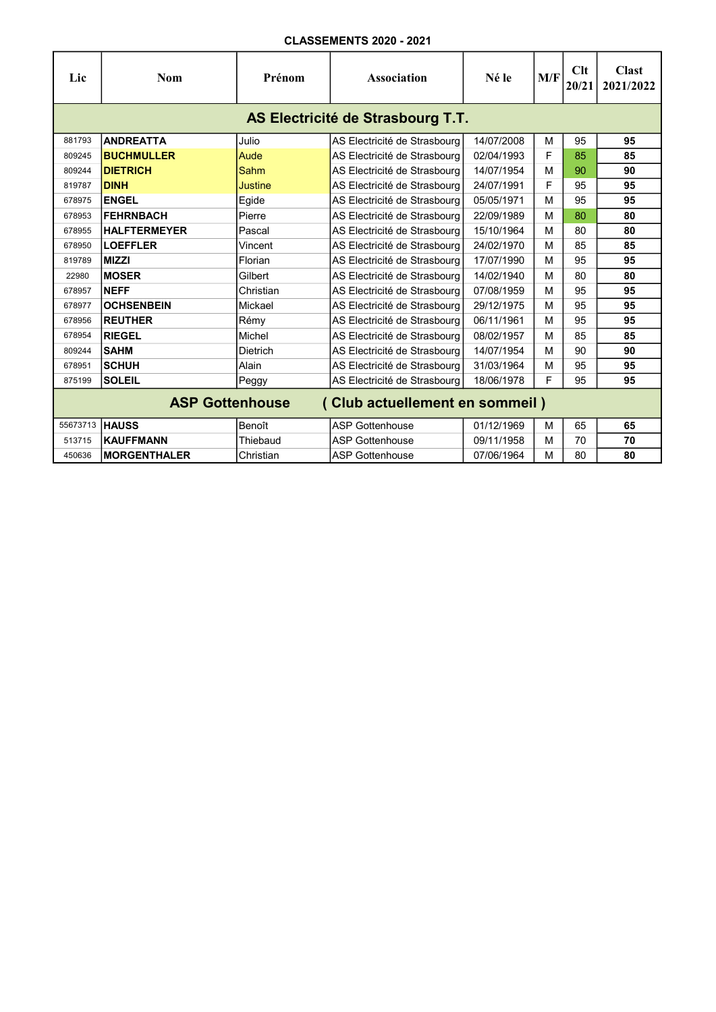| Lic            | <b>Nom</b>                                               | Prénom          | <b>Association</b>           | Né le      | M/F | Clt<br>20/21 | <b>Clast</b><br>2021/2022 |  |  |  |  |
|----------------|----------------------------------------------------------|-----------------|------------------------------|------------|-----|--------------|---------------------------|--|--|--|--|
|                | AS Electricité de Strasbourg T.T.                        |                 |                              |            |     |              |                           |  |  |  |  |
| 881793         | <b>ANDREATTA</b>                                         | Julio           | AS Electricité de Strasbourg | 14/07/2008 | м   | 95           | 95                        |  |  |  |  |
| 809245         | <b>BUCHMULLER</b>                                        | Aude            | AS Electricité de Strasbourg | 02/04/1993 | F   | 85           | 85                        |  |  |  |  |
| 809244         | <b>DIETRICH</b>                                          | Sahm            | AS Electricité de Strasbourg | 14/07/1954 | м   | 90           | 90                        |  |  |  |  |
| 819787         | <b>DINH</b>                                              | Justine         | AS Electricité de Strasbourg | 24/07/1991 | F   | 95           | 95                        |  |  |  |  |
| 678975         | <b>ENGEL</b>                                             | Egide           | AS Electricité de Strasbourg | 05/05/1971 | м   | 95           | 95                        |  |  |  |  |
| 678953         | <b>FEHRNBACH</b>                                         | Pierre          | AS Electricité de Strasbourg | 22/09/1989 | M   | 80           | 80                        |  |  |  |  |
| 678955         | <b>HALFTERMEYER</b>                                      | Pascal          | AS Electricité de Strasbourg | 15/10/1964 | м   | 80           | 80                        |  |  |  |  |
| 678950         | <b>LOEFFLER</b>                                          | Vincent         | AS Electricité de Strasbourg | 24/02/1970 | м   | 85           | 85                        |  |  |  |  |
| 819789         | <b>MIZZI</b>                                             | Florian         | AS Electricité de Strasbourg | 17/07/1990 | м   | 95           | 95                        |  |  |  |  |
| 22980          | <b>MOSER</b>                                             | Gilbert         | AS Electricité de Strasbourg | 14/02/1940 | м   | 80           | 80                        |  |  |  |  |
| 678957         | <b>NEFF</b>                                              | Christian       | AS Electricité de Strasbourg | 07/08/1959 | м   | 95           | 95                        |  |  |  |  |
| 678977         | <b>OCHSENBEIN</b>                                        | Mickael         | AS Electricité de Strasbourg | 29/12/1975 | M   | 95           | 95                        |  |  |  |  |
| 678956         | <b>REUTHER</b>                                           | Rémy            | AS Electricité de Strasbourg | 06/11/1961 | м   | 95           | 95                        |  |  |  |  |
| 678954         | <b>RIEGEL</b>                                            | Michel          | AS Electricité de Strasbourg | 08/02/1957 | м   | 85           | 85                        |  |  |  |  |
| 809244         | <b>SAHM</b>                                              | <b>Dietrich</b> | AS Electricité de Strasbourg | 14/07/1954 | M   | 90           | 90                        |  |  |  |  |
| 678951         | <b>SCHUH</b>                                             | Alain           | AS Electricité de Strasbourg | 31/03/1964 | м   | 95           | 95                        |  |  |  |  |
| 875199         | <b>SOLEIL</b>                                            | Peggy           | AS Electricité de Strasbourg | 18/06/1978 | F   | 95           | 95                        |  |  |  |  |
|                | <b>ASP Gottenhouse</b><br>(Club actuellement en sommeil) |                 |                              |            |     |              |                           |  |  |  |  |
| 55673713 HAUSS |                                                          | Benoît          | <b>ASP Gottenhouse</b>       | 01/12/1969 | м   | 65           | 65                        |  |  |  |  |
| 513715         | <b>KAUFFMANN</b>                                         | Thiebaud        | <b>ASP Gottenhouse</b>       | 09/11/1958 | M   | 70           | 70                        |  |  |  |  |
| 450636         | <b>MORGENTHALER</b>                                      | Christian       | <b>ASP Gottenhouse</b>       | 07/06/1964 | M   | 80           | 80                        |  |  |  |  |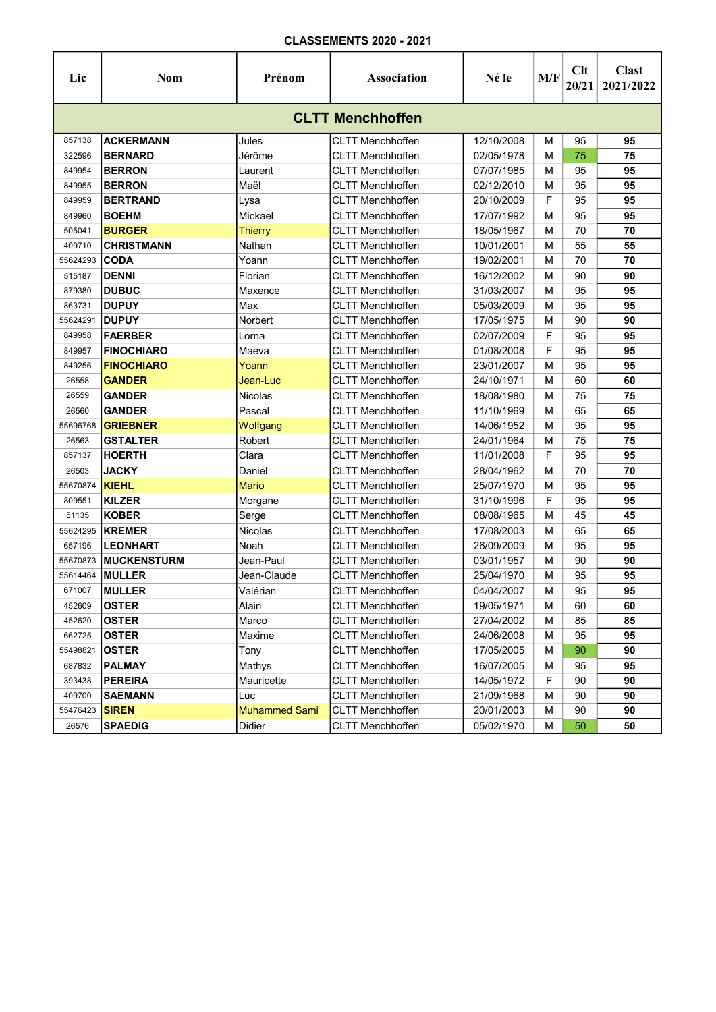| Lic                     | <b>Nom</b>         | Prénom               | Association             | Né le      | M/F | Clt<br>20/21 | <b>Clast</b><br>2021/2022 |  |  |  |  |
|-------------------------|--------------------|----------------------|-------------------------|------------|-----|--------------|---------------------------|--|--|--|--|
| <b>CLTT Menchhoffen</b> |                    |                      |                         |            |     |              |                           |  |  |  |  |
| 857138                  | <b>ACKERMANN</b>   | Jules                | <b>CLTT Menchhoffen</b> | 12/10/2008 | м   | 95           | 95                        |  |  |  |  |
| 322596                  | <b>BERNARD</b>     | Jérôme               | <b>CLTT Menchhoffen</b> | 02/05/1978 | М   | 75           | 75                        |  |  |  |  |
| 849954                  | <b>BERRON</b>      | Laurent              | <b>CLTT Menchhoffen</b> | 07/07/1985 | M   | 95           | 95                        |  |  |  |  |
| 849955                  | <b>BERRON</b>      | Maël                 | <b>CLTT Menchhoffen</b> | 02/12/2010 | М   | 95           | 95                        |  |  |  |  |
| 849959                  | <b>BERTRAND</b>    | Lysa                 | <b>CLTT Menchhoffen</b> | 20/10/2009 | F   | 95           | 95                        |  |  |  |  |
| 849960                  | <b>BOEHM</b>       | Mickael              | <b>CLTT Menchhoffen</b> | 17/07/1992 | М   | 95           | 95                        |  |  |  |  |
| 505041                  | <b>BURGER</b>      | <b>Thierry</b>       | <b>CLTT Menchhoffen</b> | 18/05/1967 | М   | 70           | 70                        |  |  |  |  |
| 409710                  | <b>CHRISTMANN</b>  | Nathan               | <b>CLTT Menchhoffen</b> | 10/01/2001 | M   | 55           | 55                        |  |  |  |  |
| 55624293                | <b>CODA</b>        | Yoann                | <b>CLTT Menchhoffen</b> | 19/02/2001 | M   | 70           | 70                        |  |  |  |  |
| 515187                  | <b>DENNI</b>       | Florian              | <b>CLTT Menchhoffen</b> | 16/12/2002 | M   | 90           | 90                        |  |  |  |  |
| 879380                  | <b>DUBUC</b>       | Maxence              | <b>CLTT Menchhoffen</b> | 31/03/2007 | М   | 95           | 95                        |  |  |  |  |
| 863731                  | <b>DUPUY</b>       | Max                  | <b>CLTT Menchhoffen</b> | 05/03/2009 | М   | 95           | 95                        |  |  |  |  |
| 55624291                | <b>DUPUY</b>       | Norbert              | <b>CLTT Menchhoffen</b> | 17/05/1975 | М   | 90           | 90                        |  |  |  |  |
| 849958                  | <b>FAERBER</b>     | Lorna                | <b>CLTT Menchhoffen</b> | 02/07/2009 | F   | 95           | 95                        |  |  |  |  |
| 849957                  | <b>FINOCHIARO</b>  | Maeva                | <b>CLTT Menchhoffen</b> | 01/08/2008 | F   | 95           | 95                        |  |  |  |  |
| 849256                  | <b>FINOCHIARO</b>  | Yoann                | <b>CLTT Menchhoffen</b> | 23/01/2007 | M   | 95           | 95                        |  |  |  |  |
| 26558                   | <b>GANDER</b>      | Jean-Luc             | <b>CLTT Menchhoffen</b> | 24/10/1971 | М   | 60           | 60                        |  |  |  |  |
| 26559                   | <b>GANDER</b>      | Nicolas              | <b>CLTT Menchhoffen</b> | 18/08/1980 | М   | 75           | 75                        |  |  |  |  |
| 26560                   | <b>GANDER</b>      | Pascal               | <b>CLTT Menchhoffen</b> | 11/10/1969 | М   | 65           | 65                        |  |  |  |  |
| 55696768                | <b>GRIEBNER</b>    | Wolfgang             | <b>CLTT Menchhoffen</b> | 14/06/1952 | М   | 95           | 95                        |  |  |  |  |
| 26563                   | <b>GSTALTER</b>    | Robert               | <b>CLTT Menchhoffen</b> | 24/01/1964 | М   | 75           | 75                        |  |  |  |  |
| 857137                  | <b>HOERTH</b>      | Clara                | <b>CLTT Menchhoffen</b> | 11/01/2008 | F   | 95           | 95                        |  |  |  |  |
| 26503                   | <b>JACKY</b>       | Daniel               | <b>CLTT Menchhoffen</b> | 28/04/1962 | М   | 70           | 70                        |  |  |  |  |
| 55670874                | <b>KIEHL</b>       | <b>Mario</b>         | <b>CLTT Menchhoffen</b> | 25/07/1970 | M   | 95           | 95                        |  |  |  |  |
| 809551                  | <b>KILZER</b>      | Morgane              | <b>CLTT Menchhoffen</b> | 31/10/1996 | F   | 95           | 95                        |  |  |  |  |
| 51135                   | <b>KOBER</b>       | Serge                | <b>CLTT Menchhoffen</b> | 08/08/1965 | M   | 45           | 45                        |  |  |  |  |
| 55624295                | <b>KREMER</b>      | Nicolas              | <b>CLTT Menchhoffen</b> | 17/08/2003 | M   | 65           | 65                        |  |  |  |  |
| 657196                  | <b>LEONHART</b>    | Noah                 | <b>CLTT Menchhoffen</b> | 26/09/2009 | M   | 95           | 95                        |  |  |  |  |
| 55670873                | <b>MUCKENSTURM</b> | Jean-Paul            | <b>CLTT Menchhoffen</b> | 03/01/1957 | М   | 90           | 90                        |  |  |  |  |
| 55614464                | <b>MULLER</b>      | Jean-Claude          | <b>CLTT Menchhoffen</b> | 25/04/1970 | М   | 95           | 95                        |  |  |  |  |
| 671007                  | <b>MULLER</b>      | Valérian             | <b>CLTT Menchhoffen</b> | 04/04/2007 | м   | 95           | 95                        |  |  |  |  |
| 452609                  | <b>OSTER</b>       | Alain                | <b>CLTT Menchhoffen</b> | 19/05/1971 | м   | 60           | 60                        |  |  |  |  |
| 452620                  | <b>OSTER</b>       | Marco                | <b>CLTT Menchhoffen</b> | 27/04/2002 | M   | 85           | 85                        |  |  |  |  |
| 662725                  | <b>OSTER</b>       | Maxime               | <b>CLTT Menchhoffen</b> | 24/06/2008 | M   | 95           | 95                        |  |  |  |  |
| 55498821                | <b>OSTER</b>       | Tony                 | <b>CLTT Menchhoffen</b> | 17/05/2005 | M   | 90           | 90                        |  |  |  |  |
| 687832                  | <b>PALMAY</b>      | Mathys               | <b>CLTT Menchhoffen</b> | 16/07/2005 | M   | 95           | 95                        |  |  |  |  |
| 393438                  | <b>PEREIRA</b>     | Mauricette           | <b>CLTT Menchhoffen</b> | 14/05/1972 | F   | 90           | 90                        |  |  |  |  |
| 409700                  | <b>SAEMANN</b>     | Luc                  | <b>CLTT Menchhoffen</b> | 21/09/1968 | M   | 90           | 90                        |  |  |  |  |
| 55476423                | <b>SIREN</b>       | <b>Muhammed Sami</b> | <b>CLTT Menchhoffen</b> | 20/01/2003 | M   | 90           | 90                        |  |  |  |  |
| 26576                   | <b>SPAEDIG</b>     | Didier               | <b>CLTT Menchhoffen</b> | 05/02/1970 | M   | 50           | 50                        |  |  |  |  |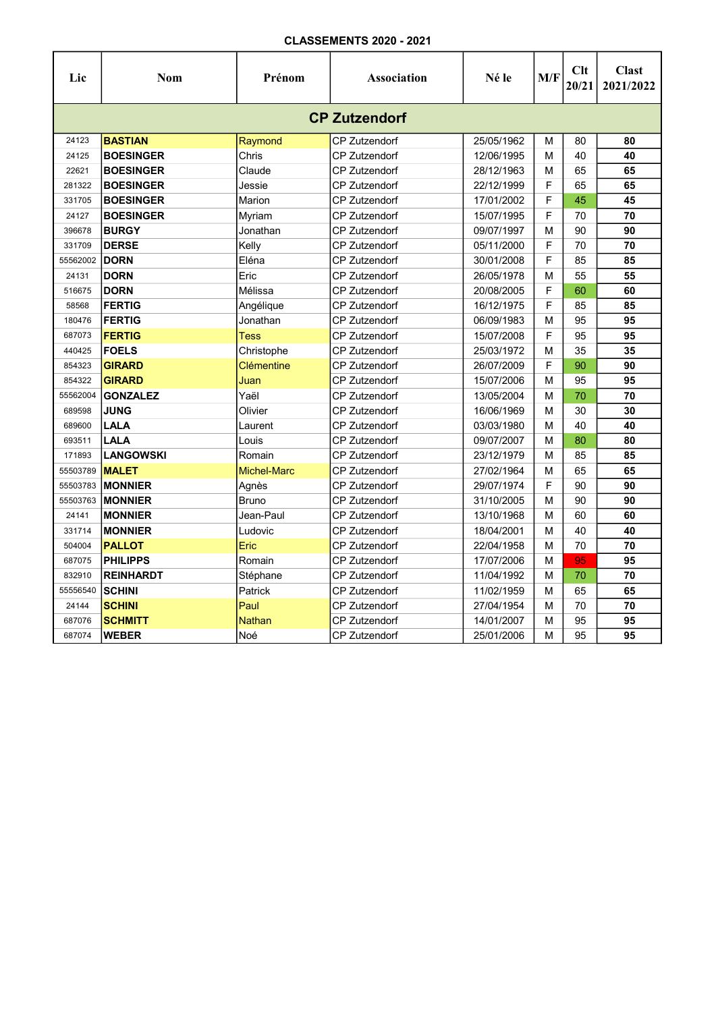| Lic                  | <b>Nom</b>       | Prénom             | <b>Association</b>   | Né le      | M/F | Clt<br>20/21 | <b>Clast</b><br>2021/2022 |  |  |  |  |
|----------------------|------------------|--------------------|----------------------|------------|-----|--------------|---------------------------|--|--|--|--|
| <b>CP Zutzendorf</b> |                  |                    |                      |            |     |              |                           |  |  |  |  |
| 24123                | <b>BASTIAN</b>   | Raymond            | <b>CP Zutzendorf</b> | 25/05/1962 | M   | 80           | 80                        |  |  |  |  |
| 24125                | <b>BOESINGER</b> | Chris              | <b>CP Zutzendorf</b> | 12/06/1995 | M   | 40           | 40                        |  |  |  |  |
| 22621                | <b>BOESINGER</b> | Claude             | <b>CP Zutzendorf</b> | 28/12/1963 | M   | 65           | 65                        |  |  |  |  |
| 281322               | <b>BOESINGER</b> | Jessie             | <b>CP Zutzendorf</b> | 22/12/1999 | F   | 65           | 65                        |  |  |  |  |
| 331705               | <b>BOESINGER</b> | Marion             | <b>CP Zutzendorf</b> | 17/01/2002 | F   | 45           | 45                        |  |  |  |  |
| 24127                | <b>BOESINGER</b> | Myriam             | <b>CP Zutzendorf</b> | 15/07/1995 | F   | 70           | 70                        |  |  |  |  |
| 396678               | <b>BURGY</b>     | Jonathan           | <b>CP Zutzendorf</b> | 09/07/1997 | M   | 90           | 90                        |  |  |  |  |
| 331709               | <b>DERSE</b>     | Kelly              | <b>CP Zutzendorf</b> | 05/11/2000 | F   | 70           | 70                        |  |  |  |  |
| 55562002             | <b>DORN</b>      | Eléna              | <b>CP Zutzendorf</b> | 30/01/2008 | F   | 85           | 85                        |  |  |  |  |
| 24131                | <b>DORN</b>      | Eric               | <b>CP Zutzendorf</b> | 26/05/1978 | M   | 55           | 55                        |  |  |  |  |
| 516675               | <b>DORN</b>      | Mélissa            | <b>CP Zutzendorf</b> | 20/08/2005 | F   | 60           | 60                        |  |  |  |  |
| 58568                | <b>FERTIG</b>    | Angélique          | CP Zutzendorf        | 16/12/1975 | F   | 85           | 85                        |  |  |  |  |
| 180476               | <b>FERTIG</b>    | Jonathan           | <b>CP Zutzendorf</b> | 06/09/1983 | М   | 95           | 95                        |  |  |  |  |
| 687073               | <b>FERTIG</b>    | <b>Tess</b>        | CP Zutzendorf        | 15/07/2008 | F   | 95           | 95                        |  |  |  |  |
| 440425               | <b>FOELS</b>     | Christophe         | CP Zutzendorf        | 25/03/1972 | M   | 35           | 35                        |  |  |  |  |
| 854323               | <b>GIRARD</b>    | Clémentine         | <b>CP Zutzendorf</b> | 26/07/2009 | F   | 90           | 90                        |  |  |  |  |
| 854322               | <b>GIRARD</b>    | Juan               | <b>CP Zutzendorf</b> | 15/07/2006 | M   | 95           | 95                        |  |  |  |  |
| 55562004             | <b>GONZALEZ</b>  | Yaël               | <b>CP Zutzendorf</b> | 13/05/2004 | M   | 70           | 70                        |  |  |  |  |
| 689598               | <b>JUNG</b>      | Olivier            | <b>CP Zutzendorf</b> | 16/06/1969 | M   | 30           | 30                        |  |  |  |  |
| 689600               | LALA             | Laurent            | <b>CP Zutzendorf</b> | 03/03/1980 | M   | 40           | 40                        |  |  |  |  |
| 693511               | LALA             | Louis              | <b>CP Zutzendorf</b> | 09/07/2007 | M   | 80           | 80                        |  |  |  |  |
| 171893               | <b>LANGOWSKI</b> | Romain             | <b>CP Zutzendorf</b> | 23/12/1979 | M   | 85           | 85                        |  |  |  |  |
| 55503789             | <b>MALET</b>     | <b>Michel-Marc</b> | <b>CP Zutzendorf</b> | 27/02/1964 | М   | 65           | 65                        |  |  |  |  |
| 55503783             | <b>MONNIER</b>   | Agnès              | <b>CP Zutzendorf</b> | 29/07/1974 | F   | 90           | 90                        |  |  |  |  |
| 55503763             | <b>MONNIER</b>   | <b>Bruno</b>       | <b>CP Zutzendorf</b> | 31/10/2005 | M   | 90           | 90                        |  |  |  |  |
| 24141                | <b>MONNIER</b>   | Jean-Paul          | <b>CP Zutzendorf</b> | 13/10/1968 | M   | 60           | 60                        |  |  |  |  |
| 331714               | <b>MONNIER</b>   | Ludovic            | <b>CP Zutzendorf</b> | 18/04/2001 | M   | 40           | 40                        |  |  |  |  |
| 504004               | <b>PALLOT</b>    | Eric               | <b>CP Zutzendorf</b> | 22/04/1958 | M   | 70           | 70                        |  |  |  |  |
| 687075               | <b>PHILIPPS</b>  | Romain             | <b>CP Zutzendorf</b> | 17/07/2006 | M   | 95           | 95                        |  |  |  |  |
| 832910               | <b>REINHARDT</b> | Stéphane           | CP Zutzendorf        | 11/04/1992 | M   | 70           | 70                        |  |  |  |  |
| 55556540             | <b>SCHINI</b>    | Patrick            | <b>CP Zutzendorf</b> | 11/02/1959 | M   | 65           | 65                        |  |  |  |  |
| 24144                | <b>SCHINI</b>    | Paul               | CP Zutzendorf        | 27/04/1954 | M   | 70           | 70                        |  |  |  |  |
| 687076               | <b>SCHMITT</b>   | <b>Nathan</b>      | <b>CP Zutzendorf</b> | 14/01/2007 | M   | 95           | 95                        |  |  |  |  |
| 687074               | <b>WEBER</b>     | Noé                | <b>CP Zutzendorf</b> | 25/01/2006 | M   | 95           | 95                        |  |  |  |  |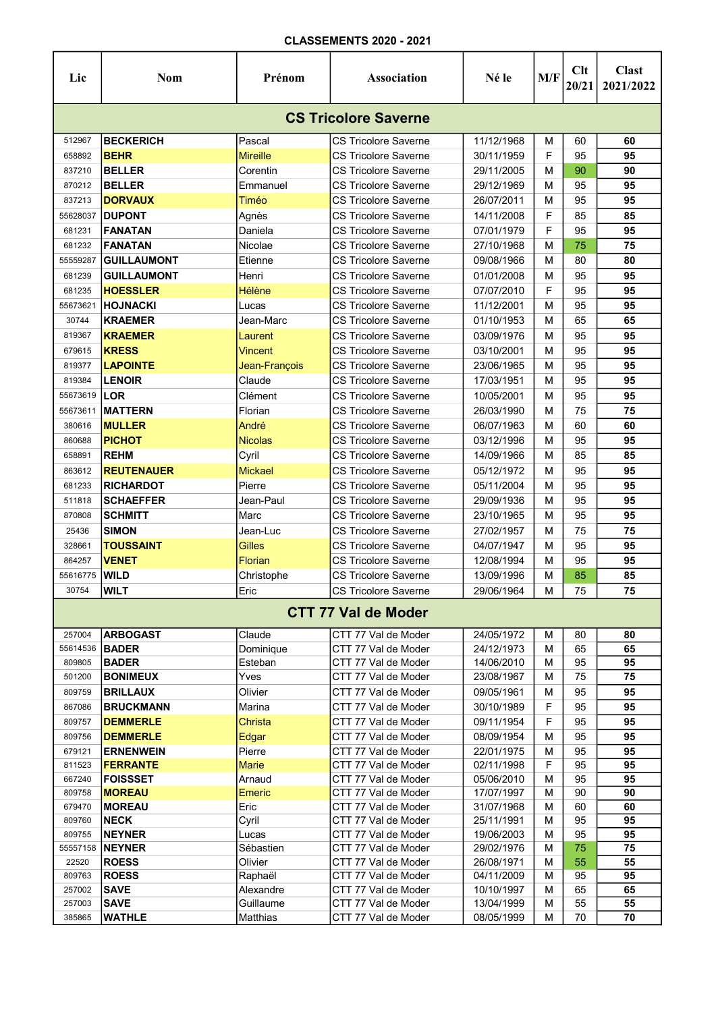| Lic                         | <b>Nom</b>         | Prénom               | Association                 | Né le      | M/F    | Clt<br>20/21 | <b>Clast</b><br>2021/2022 |  |  |  |  |
|-----------------------------|--------------------|----------------------|-----------------------------|------------|--------|--------------|---------------------------|--|--|--|--|
| <b>CS Tricolore Saverne</b> |                    |                      |                             |            |        |              |                           |  |  |  |  |
| 512967                      | <b>BECKERICH</b>   | Pascal               | CS Tricolore Saverne        | 11/12/1968 | м      | 60           | 60                        |  |  |  |  |
| 658892                      | <b>BEHR</b>        | <b>Mireille</b>      | CS Tricolore Saverne        | 30/11/1959 | F      | 95           | 95                        |  |  |  |  |
| 837210                      | <b>BELLER</b>      | Corentin             | CS Tricolore Saverne        | 29/11/2005 | м      | 90           | 90                        |  |  |  |  |
| 870212                      | <b>BELLER</b>      | Emmanuel             | CS Tricolore Saverne        | 29/12/1969 | м      | 95           | 95                        |  |  |  |  |
| 837213                      | <b>DORVAUX</b>     | Timéo                | <b>CS Tricolore Saverne</b> | 26/07/2011 | м      | 95           | 95                        |  |  |  |  |
| 55628037                    | <b>DUPONT</b>      | Agnès                | CS Tricolore Saverne        | 14/11/2008 | F      | 85           | 85                        |  |  |  |  |
| 681231                      | <b>FANATAN</b>     | Daniela              | CS Tricolore Saverne        | 07/01/1979 | F      | 95           | 95                        |  |  |  |  |
| 681232                      | <b>FANATAN</b>     | Nicolae              | CS Tricolore Saverne        | 27/10/1968 | M      | 75           | 75                        |  |  |  |  |
| 55559287                    | GUILLAUMONT        | Etienne              | CS Tricolore Saverne        | 09/08/1966 | М      | 80           | 80                        |  |  |  |  |
| 681239                      | <b>GUILLAUMONT</b> | Henri                | CS Tricolore Saverne        | 01/01/2008 | М      | 95           | 95                        |  |  |  |  |
| 681235                      | <b>HOESSLER</b>    | Hélène               | CS Tricolore Saverne        | 07/07/2010 | F      | 95           | 95                        |  |  |  |  |
| 55673621                    | <b>HOJNACKI</b>    | Lucas                | <b>CS Tricolore Saverne</b> | 11/12/2001 | M      | 95           | 95                        |  |  |  |  |
| 30744                       | <b>KRAEMER</b>     | Jean-Marc            | <b>CS Tricolore Saverne</b> | 01/10/1953 | м      | 65           | 65                        |  |  |  |  |
| 819367                      | <b>KRAEMER</b>     | Laurent              | CS Tricolore Saverne        | 03/09/1976 | м      | 95           | 95                        |  |  |  |  |
| 679615                      | <b>KRESS</b>       | Vincent              | CS Tricolore Saverne        | 03/10/2001 | м      | 95           | 95                        |  |  |  |  |
| 819377                      | <b>LAPOINTE</b>    | Jean-François        | CS Tricolore Saverne        | 23/06/1965 | м      | 95           | 95                        |  |  |  |  |
| 819384                      | <b>LENOIR</b>      | Claude               | <b>CS Tricolore Saverne</b> | 17/03/1951 | м      | 95           | 95                        |  |  |  |  |
| 55673619                    | LOR                | Clément              | <b>CS Tricolore Saverne</b> | 10/05/2001 | м      | 95           | 95                        |  |  |  |  |
| 55673611                    | <b>IMATTERN</b>    | Florian              | CS Tricolore Saverne        | 26/03/1990 | м      | 75           | 75                        |  |  |  |  |
| 380616                      | <b>MULLER</b>      | André                | CS Tricolore Saverne        | 06/07/1963 | М      | 60           | 60                        |  |  |  |  |
| 860688                      | <b>PICHOT</b>      | <b>Nicolas</b>       | <b>CS Tricolore Saverne</b> | 03/12/1996 | M      | 95           | 95                        |  |  |  |  |
| 658891                      | <b>REHM</b>        | Cyril                | CS Tricolore Saverne        | 14/09/1966 | м      | 85           | 85                        |  |  |  |  |
| 863612                      | <b>REUTENAUER</b>  | <b>Mickael</b>       | CS Tricolore Saverne        | 05/12/1972 | М      | 95           | 95                        |  |  |  |  |
| 681233                      | <b>RICHARDOT</b>   | Pierre               | <b>CS Tricolore Saverne</b> | 05/11/2004 | м      | 95           | 95                        |  |  |  |  |
| 511818                      | <b>SCHAEFFER</b>   | Jean-Paul            | <b>CS Tricolore Saverne</b> | 29/09/1936 | м      | 95           | 95                        |  |  |  |  |
| 870808                      | <b>SCHMITT</b>     | Marc                 | <b>CS Tricolore Saverne</b> | 23/10/1965 | м      | 95           | 95                        |  |  |  |  |
| 25436                       | <b>SIMON</b>       | Jean-Luc             | CS Tricolore Saverne        | 27/02/1957 | м      | 75           | 75                        |  |  |  |  |
| 328661                      | <b>TOUSSAINT</b>   | <b>Gilles</b>        | <b>CS Tricolore Saverne</b> | 04/07/1947 | м      | 95           | 95                        |  |  |  |  |
| 864257                      | <b>VENET</b>       | Florian              | CS Tricolore Saverne        | 12/08/1994 | м      | 95           | 95                        |  |  |  |  |
| 55616775                    | WILD               | Christophe           | <b>CS Tricolore Saverne</b> | 13/09/1996 | м      | 85           | 85                        |  |  |  |  |
| 30754                       | <b>WILT</b>        | Eric                 | CS Tricolore Saverne        | 29/06/1964 | M      | 75           | 75                        |  |  |  |  |
|                             |                    |                      | <b>CTT 77 Val de Moder</b>  |            |        |              |                           |  |  |  |  |
|                             | <b>ARBOGAST</b>    | Claude               | CTT 77 Val de Moder         | 24/05/1972 |        | 80           | 80                        |  |  |  |  |
| 257004<br>55614536          | <b>BADER</b>       |                      | CTT 77 Val de Moder         | 24/12/1973 | м<br>м | 65           | 65                        |  |  |  |  |
| 809805                      | <b>BADER</b>       | Dominique<br>Esteban | CTT 77 Val de Moder         | 14/06/2010 | М      | 95           | 95                        |  |  |  |  |
| 501200                      | <b>BONIMEUX</b>    | Yves                 | CTT 77 Val de Moder         | 23/08/1967 | м      | 75           | 75                        |  |  |  |  |
| 809759                      | <b>BRILLAUX</b>    | Olivier              | CTT 77 Val de Moder         | 09/05/1961 | м      | 95           | 95                        |  |  |  |  |
| 867086                      | <b>BRUCKMANN</b>   | Marina               | CTT 77 Val de Moder         | 30/10/1989 | F      | 95           | 95                        |  |  |  |  |
| 809757                      | <b>DEMMERLE</b>    | Christa              | CTT 77 Val de Moder         | 09/11/1954 | F      | 95           | 95                        |  |  |  |  |
| 809756                      | <b>DEMMERLE</b>    | Edgar                | CTT 77 Val de Moder         | 08/09/1954 | М      | 95           | 95                        |  |  |  |  |
| 679121                      | <b>ERNENWEIN</b>   | Pierre               | CTT 77 Val de Moder         | 22/01/1975 | M      | 95           | 95                        |  |  |  |  |
| 811523                      | <b>FERRANTE</b>    | <b>Marie</b>         | CTT 77 Val de Moder         | 02/11/1998 | F      | 95           | 95                        |  |  |  |  |
| 667240                      | <b>FOISSSET</b>    | Arnaud               | CTT 77 Val de Moder         | 05/06/2010 | M      | 95           | 95                        |  |  |  |  |
| 809758                      | <b>MOREAU</b>      | Emeric               | CTT 77 Val de Moder         | 17/07/1997 | М      | 90           | 90                        |  |  |  |  |
| 679470                      | <b>MOREAU</b>      | Eric                 | CTT 77 Val de Moder         | 31/07/1968 | M      | 60           | 60                        |  |  |  |  |
| 809760                      | <b>NECK</b>        | Cyril                | CTT 77 Val de Moder         | 25/11/1991 | M      | 95           | 95                        |  |  |  |  |
| 809755                      | <b>NEYNER</b>      | Lucas                | CTT 77 Val de Moder         | 19/06/2003 | M      | 95           | 95                        |  |  |  |  |
| 55557158                    | <b>NEYNER</b>      | Sébastien            | CTT 77 Val de Moder         | 29/02/1976 | М      | 75           | 75                        |  |  |  |  |
| 22520                       | <b>ROESS</b>       | Olivier              | CTT 77 Val de Moder         | 26/08/1971 | M      | 55           | 55                        |  |  |  |  |
| 809763                      | <b>ROESS</b>       | Raphaël              | CTT 77 Val de Moder         | 04/11/2009 | М      | 95           | 95                        |  |  |  |  |
| 257002                      | <b>SAVE</b>        | Alexandre            | CTT 77 Val de Moder         | 10/10/1997 | M      | 65           | 65                        |  |  |  |  |
| 257003                      | <b>SAVE</b>        | Guillaume            | CTT 77 Val de Moder         | 13/04/1999 | M      | 55           | 55                        |  |  |  |  |
| 385865                      | <b>WATHLE</b>      | Matthias             | CTT 77 Val de Moder         | 08/05/1999 | M      | 70           | 70                        |  |  |  |  |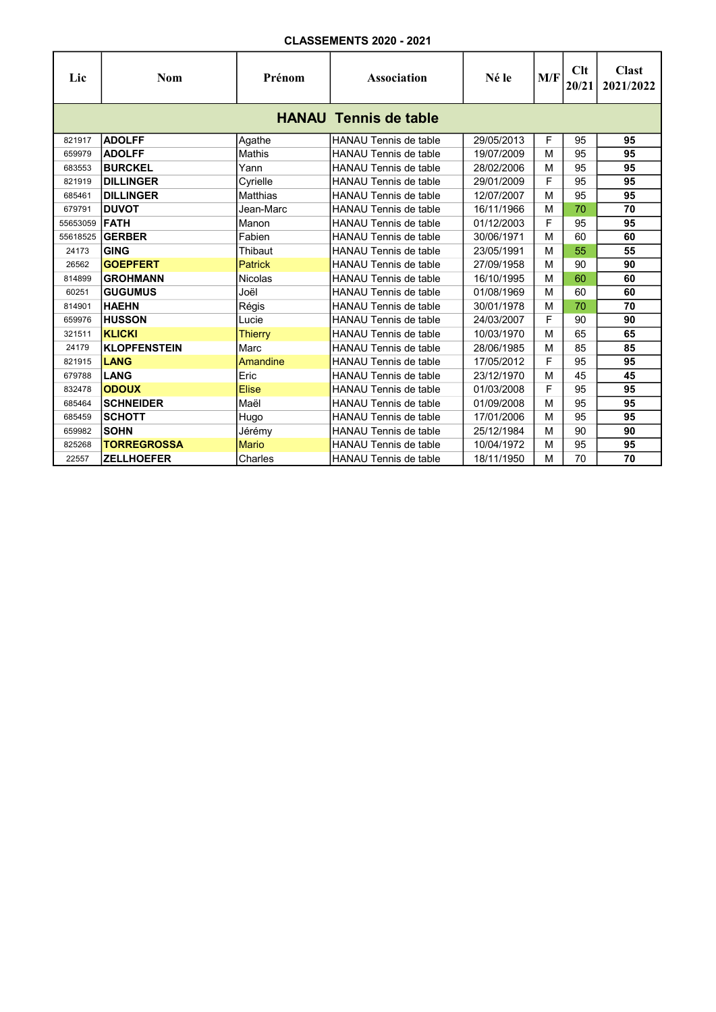| Lic      | Nom                          | Prénom         | <b>Association</b>           | Né le      | M/F | Clt<br>20/21 | <b>Clast</b><br>2021/2022 |  |  |  |  |
|----------|------------------------------|----------------|------------------------------|------------|-----|--------------|---------------------------|--|--|--|--|
|          | <b>HANAU Tennis de table</b> |                |                              |            |     |              |                           |  |  |  |  |
| 821917   | <b>ADOLFF</b>                | Agathe         | <b>HANAU Tennis de table</b> | 29/05/2013 | F   | 95           | 95                        |  |  |  |  |
| 659979   | <b>ADOLFF</b>                | Mathis         | <b>HANAU Tennis de table</b> | 19/07/2009 | M   | 95           | 95                        |  |  |  |  |
| 683553   | <b>BURCKEL</b>               | Yann           | <b>HANAU Tennis de table</b> | 28/02/2006 | M   | 95           | 95                        |  |  |  |  |
| 821919   | <b>DILLINGER</b>             | Cyrielle       | <b>HANAU Tennis de table</b> | 29/01/2009 | F   | 95           | 95                        |  |  |  |  |
| 685461   | <b>DILLINGER</b>             | Matthias       | <b>HANAU Tennis de table</b> | 12/07/2007 | M   | 95           | 95                        |  |  |  |  |
| 679791   | <b>DUVOT</b>                 | Jean-Marc      | HANAU Tennis de table        | 16/11/1966 | M   | 70           | 70                        |  |  |  |  |
| 55653059 | <b>IFATH</b>                 | Manon          | <b>HANAU Tennis de table</b> | 01/12/2003 | F   | 95           | 95                        |  |  |  |  |
| 55618525 | <b>GERBER</b>                | Fabien         | <b>HANAU Tennis de table</b> | 30/06/1971 | M   | 60           | 60                        |  |  |  |  |
| 24173    | <b>GING</b>                  | Thibaut        | <b>HANAU Tennis de table</b> | 23/05/1991 | M   | 55           | 55                        |  |  |  |  |
| 26562    | <b>GOEPFERT</b>              | <b>Patrick</b> | <b>HANAU Tennis de table</b> | 27/09/1958 | M   | 90           | 90                        |  |  |  |  |
| 814899   | <b>GROHMANN</b>              | <b>Nicolas</b> | <b>HANAU Tennis de table</b> | 16/10/1995 | M   | 60           | 60                        |  |  |  |  |
| 60251    | <b>GUGUMUS</b>               | Joël           | <b>HANAU Tennis de table</b> | 01/08/1969 | м   | 60           | 60                        |  |  |  |  |
| 814901   | <b>HAEHN</b>                 | Régis          | <b>HANAU Tennis de table</b> | 30/01/1978 | M   | 70           | 70                        |  |  |  |  |
| 659976   | <b>HUSSON</b>                | Lucie          | HANAU Tennis de table        | 24/03/2007 | F   | 90           | 90                        |  |  |  |  |
| 321511   | <b>KLICKI</b>                | <b>Thierry</b> | <b>HANAU Tennis de table</b> | 10/03/1970 | M   | 65           | 65                        |  |  |  |  |
| 24179    | <b>KLOPFENSTEIN</b>          | Marc           | <b>HANAU Tennis de table</b> | 28/06/1985 | M   | 85           | 85                        |  |  |  |  |
| 821915   | LANG                         | Amandine       | <b>HANAU Tennis de table</b> | 17/05/2012 | F   | 95           | 95                        |  |  |  |  |
| 679788   | LANG                         | Eric           | <b>HANAU Tennis de table</b> | 23/12/1970 | M   | 45           | 45                        |  |  |  |  |
| 832478   | <b>ODOUX</b>                 | <b>Elise</b>   | HANAU Tennis de table        | 01/03/2008 | F   | 95           | 95                        |  |  |  |  |
| 685464   | <b>SCHNEIDER</b>             | Maël           | <b>HANAU Tennis de table</b> | 01/09/2008 | M   | 95           | 95                        |  |  |  |  |
| 685459   | <b>SCHOTT</b>                | Hugo           | HANAU Tennis de table        | 17/01/2006 | M   | 95           | 95                        |  |  |  |  |
| 659982   | <b>SOHN</b>                  | Jérémy         | <b>HANAU Tennis de table</b> | 25/12/1984 | M   | 90           | 90                        |  |  |  |  |
| 825268   | <b>TORREGROSSA</b>           | <b>Mario</b>   | <b>HANAU Tennis de table</b> | 10/04/1972 | M   | 95           | 95                        |  |  |  |  |
| 22557    | <b>ZELLHOEFER</b>            | Charles        | <b>HANAU Tennis de table</b> | 18/11/1950 | M   | 70           | 70                        |  |  |  |  |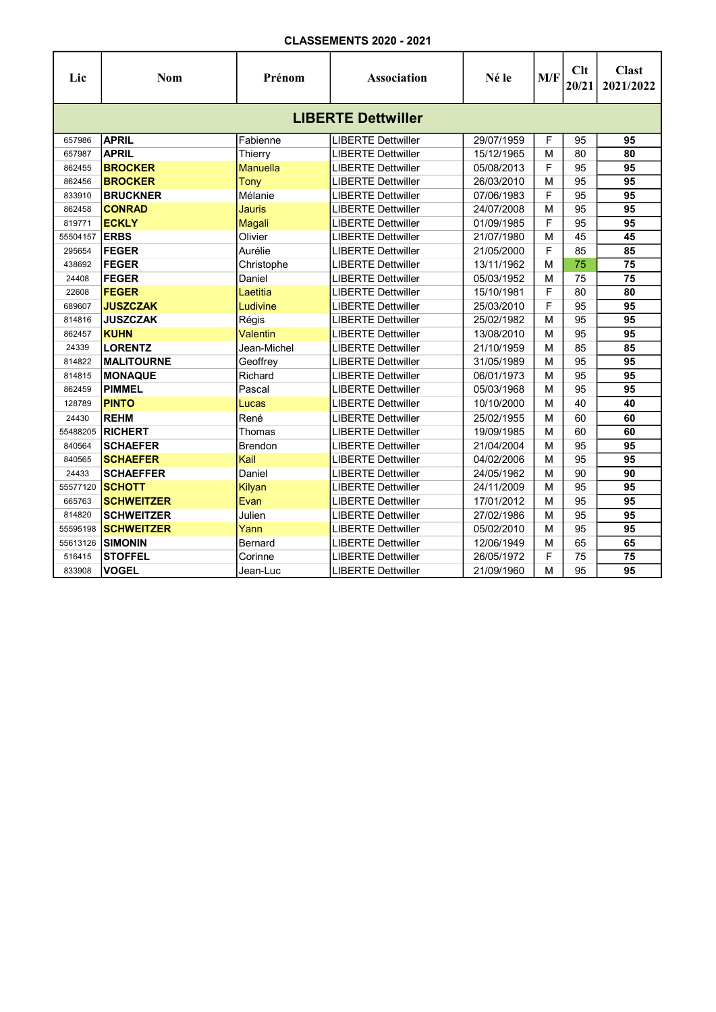| Lic                       | <b>Nom</b>        | Prénom          | <b>Association</b>        | Né le      | M/F | Clt<br>20/21 | <b>Clast</b><br>2021/2022 |  |  |  |  |
|---------------------------|-------------------|-----------------|---------------------------|------------|-----|--------------|---------------------------|--|--|--|--|
| <b>LIBERTE Dettwiller</b> |                   |                 |                           |            |     |              |                           |  |  |  |  |
| 657986                    | <b>APRIL</b>      | Fabienne        | <b>LIBERTE Dettwiller</b> | 29/07/1959 | F   | 95           | 95                        |  |  |  |  |
| 657987                    | <b>APRIL</b>      | Thierry         | <b>LIBERTE Dettwiller</b> | 15/12/1965 | M   | 80           | 80                        |  |  |  |  |
| 862455                    | <b>BROCKER</b>    | <b>Manuella</b> | <b>LIBERTE Dettwiller</b> | 05/08/2013 | F   | 95           | 95                        |  |  |  |  |
| 862456                    | <b>BROCKER</b>    | Tony            | <b>LIBERTE Dettwiller</b> | 26/03/2010 | M   | 95           | 95                        |  |  |  |  |
| 833910                    | <b>BRUCKNER</b>   | Mélanie         | <b>LIBERTE Dettwiller</b> | 07/06/1983 | F   | 95           | 95                        |  |  |  |  |
| 862458                    | <b>CONRAD</b>     | <b>Jauris</b>   | <b>LIBERTE Dettwiller</b> | 24/07/2008 | M   | 95           | 95                        |  |  |  |  |
| 819771                    | <b>ECKLY</b>      | Magali          | <b>LIBERTE Dettwiller</b> | 01/09/1985 | F   | 95           | 95                        |  |  |  |  |
| 55504157                  | <b>ERBS</b>       | Olivier         | <b>LIBERTE Dettwiller</b> | 21/07/1980 | M   | 45           | 45                        |  |  |  |  |
| 295654                    | <b>FEGER</b>      | Aurélie         | <b>LIBERTE Dettwiller</b> | 21/05/2000 | F   | 85           | 85                        |  |  |  |  |
| 438692                    | <b>FEGER</b>      | Christophe      | <b>LIBERTE Dettwiller</b> | 13/11/1962 | M   | 75           | 75                        |  |  |  |  |
| 24408                     | <b>FEGER</b>      | Daniel          | <b>LIBERTE Dettwiller</b> | 05/03/1952 | M   | 75           | 75                        |  |  |  |  |
| 22608                     | <b>FEGER</b>      | Laetitia        | <b>LIBERTE Dettwiller</b> | 15/10/1981 | F   | 80           | 80                        |  |  |  |  |
| 689607                    | <b>JUSZCZAK</b>   | Ludivine        | <b>LIBERTE Dettwiller</b> | 25/03/2010 | F   | 95           | $\overline{95}$           |  |  |  |  |
| 814816                    | <b>JUSZCZAK</b>   | Régis           | <b>LIBERTE Dettwiller</b> | 25/02/1982 | M   | 95           | 95                        |  |  |  |  |
| 862457                    | <b>KUHN</b>       | Valentin        | <b>LIBERTE Dettwiller</b> | 13/08/2010 | M   | 95           | 95                        |  |  |  |  |
| 24339                     | <b>LORENTZ</b>    | Jean-Michel     | <b>LIBERTE Dettwiller</b> | 21/10/1959 | M   | 85           | 85                        |  |  |  |  |
| 814822                    | <b>MALITOURNE</b> | Geoffrey        | <b>LIBERTE Dettwiller</b> | 31/05/1989 | M   | 95           | $\overline{95}$           |  |  |  |  |
| 814815                    | <b>MONAQUE</b>    | Richard         | <b>LIBERTE Dettwiller</b> | 06/01/1973 | м   | 95           | 95                        |  |  |  |  |
| 862459                    | <b>PIMMEL</b>     | Pascal          | <b>LIBERTE Dettwiller</b> | 05/03/1968 | м   | 95           | 95                        |  |  |  |  |
| 128789                    | <b>PINTO</b>      | Lucas           | <b>LIBERTE Dettwiller</b> | 10/10/2000 | М   | 40           | 40                        |  |  |  |  |
| 24430                     | <b>REHM</b>       | René            | <b>LIBERTE Dettwiller</b> | 25/02/1955 | M   | 60           | 60                        |  |  |  |  |
| 55488205                  | <b>RICHERT</b>    | Thomas          | <b>LIBERTE Dettwiller</b> | 19/09/1985 | м   | 60           | 60                        |  |  |  |  |
| 840564                    | <b>SCHAEFER</b>   | <b>Brendon</b>  | <b>LIBERTE Dettwiller</b> | 21/04/2004 | м   | 95           | 95                        |  |  |  |  |
| 840565                    | <b>SCHAEFER</b>   | Kail            | <b>LIBERTE Dettwiller</b> | 04/02/2006 | м   | 95           | 95                        |  |  |  |  |
| 24433                     | <b>SCHAEFFER</b>  | Daniel          | <b>LIBERTE Dettwiller</b> | 24/05/1962 | М   | 90           | 90                        |  |  |  |  |
| 55577120                  | <b>SCHOTT</b>     | Kilyan          | <b>LIBERTE Dettwiller</b> | 24/11/2009 | м   | 95           | 95                        |  |  |  |  |
| 665763                    | <b>SCHWEITZER</b> | Evan            | <b>LIBERTE Dettwiller</b> | 17/01/2012 | м   | 95           | 95                        |  |  |  |  |
| 814820                    | <b>SCHWEITZER</b> | Julien          | <b>LIBERTE Dettwiller</b> | 27/02/1986 | M   | 95           | 95                        |  |  |  |  |
| 55595198                  | <b>SCHWEITZER</b> | Yann            | <b>LIBERTE Dettwiller</b> | 05/02/2010 | M   | 95           | 95                        |  |  |  |  |
| 55613126                  | <b>SIMONIN</b>    | Bernard         | <b>LIBERTE Dettwiller</b> | 12/06/1949 | м   | 65           | 65                        |  |  |  |  |
| 516415                    | <b>STOFFEL</b>    | Corinne         | <b>LIBERTE Dettwiller</b> | 26/05/1972 | F   | 75           | 75                        |  |  |  |  |
| 833908                    | <b>VOGEL</b>      | Jean-Luc        | <b>LIBERTE Dettwiller</b> | 21/09/1960 | M   | 95           | 95                        |  |  |  |  |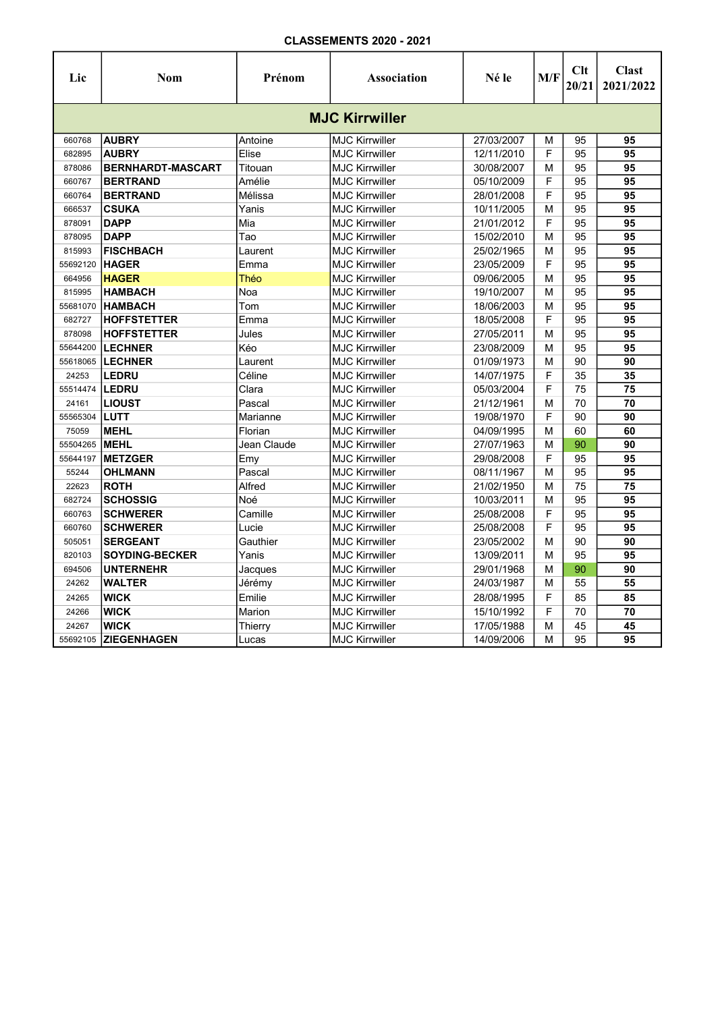| Lic                   | Nom                      | Prénom      | Association           | Né le      | M/F | Clt<br>20/21 | <b>Clast</b><br>2021/2022 |  |  |  |  |
|-----------------------|--------------------------|-------------|-----------------------|------------|-----|--------------|---------------------------|--|--|--|--|
| <b>MJC Kirrwiller</b> |                          |             |                       |            |     |              |                           |  |  |  |  |
| 660768                | <b>AUBRY</b>             | Antoine     | <b>MJC Kirrwiller</b> | 27/03/2007 | M   | 95           | 95                        |  |  |  |  |
| 682895                | <b>AUBRY</b>             | Elise       | <b>MJC Kirrwiller</b> | 12/11/2010 | F   | 95           | 95                        |  |  |  |  |
| 878086                | <b>BERNHARDT-MASCART</b> | Titouan     | <b>MJC Kirrwiller</b> | 30/08/2007 | М   | 95           | 95                        |  |  |  |  |
| 660767                | <b>BERTRAND</b>          | Amélie      | <b>MJC Kirrwiller</b> | 05/10/2009 | F   | 95           | 95                        |  |  |  |  |
| 660764                | <b>BERTRAND</b>          | Mélissa     | <b>MJC Kirrwiller</b> | 28/01/2008 | F   | 95           | 95                        |  |  |  |  |
| 666537                | <b>CSUKA</b>             | Yanis       | <b>MJC Kirrwiller</b> | 10/11/2005 | М   | 95           | 95                        |  |  |  |  |
| 878091                | <b>DAPP</b>              | Mia         | <b>MJC Kirrwiller</b> | 21/01/2012 | F   | 95           | 95                        |  |  |  |  |
| 878095                | <b>DAPP</b>              | Tao         | <b>MJC Kirrwiller</b> | 15/02/2010 | M   | 95           | 95                        |  |  |  |  |
| 815993                | <b>FISCHBACH</b>         | Laurent     | <b>MJC Kirrwiller</b> | 25/02/1965 | М   | 95           | $\overline{95}$           |  |  |  |  |
| 55692120              | <b>HAGER</b>             | Emma        | <b>MJC Kirrwiller</b> | 23/05/2009 | F   | 95           | 95                        |  |  |  |  |
| 664956                | <b>HAGER</b>             | Théo        | <b>MJC Kirrwiller</b> | 09/06/2005 | M   | 95           | 95                        |  |  |  |  |
| 815995                | <b>HAMBACH</b>           | Noa         | <b>MJC Kirrwiller</b> | 19/10/2007 | M   | 95           | 95                        |  |  |  |  |
| 55681070              | <b>HAMBACH</b>           | Tom         | <b>MJC Kirrwiller</b> | 18/06/2003 | M   | 95           | 95                        |  |  |  |  |
| 682727                | <b>HOFFSTETTER</b>       | Emma        | <b>MJC Kirrwiller</b> | 18/05/2008 | F   | 95           | 95                        |  |  |  |  |
| 878098                | <b>HOFFSTETTER</b>       | Jules       | <b>MJC Kirrwiller</b> | 27/05/2011 | M   | 95           | 95                        |  |  |  |  |
| 55644200              | <b>LECHNER</b>           | Kéo         | <b>MJC Kirrwiller</b> | 23/08/2009 | М   | 95           | 95                        |  |  |  |  |
| 55618065              | <b>LECHNER</b>           | Laurent     | <b>MJC Kirrwiller</b> | 01/09/1973 | М   | 90           | 90                        |  |  |  |  |
| 24253                 | <b>LEDRU</b>             | Céline      | <b>MJC Kirrwiller</b> | 14/07/1975 | F   | 35           | 35                        |  |  |  |  |
| 55514474              | LEDRU                    | Clara       | <b>MJC Kirrwiller</b> | 05/03/2004 | F   | 75           | 75                        |  |  |  |  |
| 24161                 | <b>LIOUST</b>            | Pascal      | <b>MJC Kirrwiller</b> | 21/12/1961 | M   | 70           | $\overline{70}$           |  |  |  |  |
| 55565304              | <b>LUTT</b>              | Marianne    | <b>MJC Kirrwiller</b> | 19/08/1970 | F   | 90           | 90                        |  |  |  |  |
| 75059                 | <b>MEHL</b>              | Florian     | <b>MJC Kirrwiller</b> | 04/09/1995 | М   | 60           | 60                        |  |  |  |  |
| 55504265              | <b>IMEHL</b>             | Jean Claude | <b>MJC Kirrwiller</b> | 27/07/1963 | М   | 90           | 90                        |  |  |  |  |
| 55644197              | <b>METZGER</b>           | Emy         | <b>MJC Kirrwiller</b> | 29/08/2008 | F   | 95           | $\overline{95}$           |  |  |  |  |
| 55244                 | <b>OHLMANN</b>           | Pascal      | <b>MJC Kirrwiller</b> | 08/11/1967 | M   | 95           | 95                        |  |  |  |  |
| 22623                 | <b>ROTH</b>              | Alfred      | <b>MJC Kirrwiller</b> | 21/02/1950 | M   | 75           | 75                        |  |  |  |  |
| 682724                | <b>SCHOSSIG</b>          | Noé         | <b>MJC Kirrwiller</b> | 10/03/2011 | M   | 95           | 95                        |  |  |  |  |
| 660763                | <b>SCHWERER</b>          | Camille     | <b>MJC Kirrwiller</b> | 25/08/2008 | F   | 95           | 95                        |  |  |  |  |
| 660760                | <b>SCHWERER</b>          | Lucie       | <b>MJC Kirrwiller</b> | 25/08/2008 | F   | 95           | 95                        |  |  |  |  |
| 505051                | <b>SERGEANT</b>          | Gauthier    | <b>MJC Kirrwiller</b> | 23/05/2002 | M   | 90           | 90                        |  |  |  |  |
| 820103                | <b>SOYDING-BECKER</b>    | Yanis       | <b>MJC Kirrwiller</b> | 13/09/2011 | М   | 95           | 95                        |  |  |  |  |
| 694506                | <b>UNTERNEHR</b>         | Jacques     | <b>MJC Kirrwiller</b> | 29/01/1968 | М   | 90           | 90                        |  |  |  |  |
| 24262                 | <b>WALTER</b>            | Jérémy      | <b>MJC Kirrwiller</b> | 24/03/1987 | М   | 55           | 55                        |  |  |  |  |
| 24265                 | <b>WICK</b>              | Emilie      | <b>MJC Kirrwiller</b> | 28/08/1995 | F   | 85           | 85                        |  |  |  |  |
| 24266                 | <b>WICK</b>              | Marion      | <b>MJC Kirrwiller</b> | 15/10/1992 | F   | 70           | 70                        |  |  |  |  |
| 24267                 | <b>WICK</b>              | Thierry     | <b>MJC Kirrwiller</b> | 17/05/1988 | М   | 45           | 45                        |  |  |  |  |
| 55692105              | <b>ZIEGENHAGEN</b>       | Lucas       | <b>MJC Kirrwiller</b> | 14/09/2006 | M   | 95           | 95                        |  |  |  |  |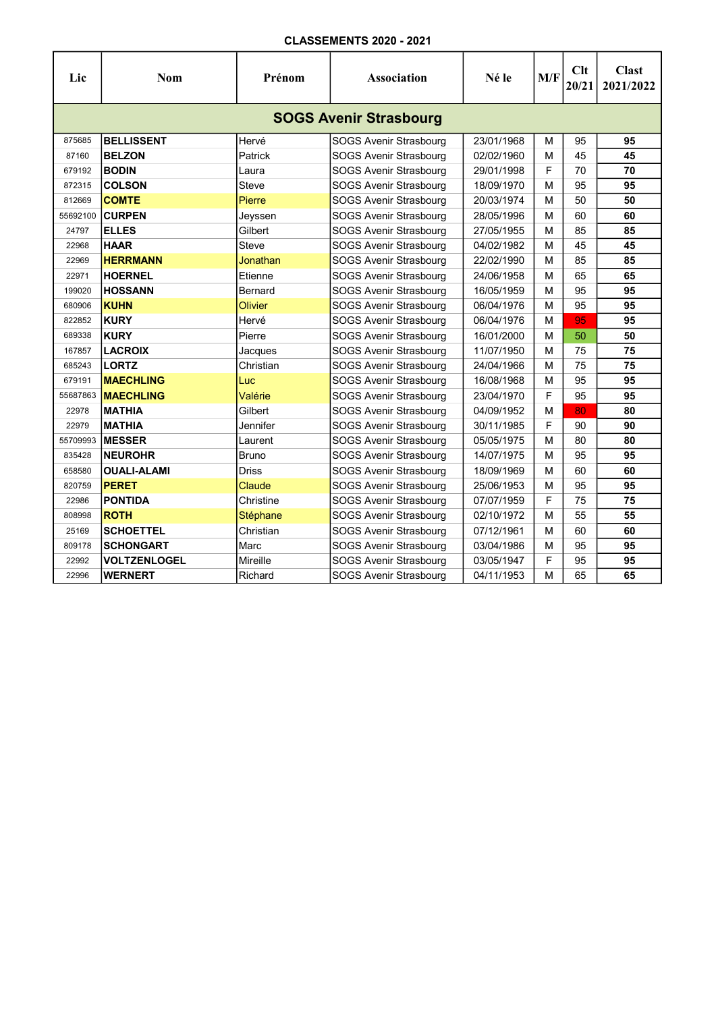| Lic                           | <b>Nom</b>          | Prénom         | <b>Association</b>            | Né le      | M/F | Clt<br>20/21 | <b>Clast</b><br>2021/2022 |  |  |  |  |
|-------------------------------|---------------------|----------------|-------------------------------|------------|-----|--------------|---------------------------|--|--|--|--|
| <b>SOGS Avenir Strasbourg</b> |                     |                |                               |            |     |              |                           |  |  |  |  |
| 875685                        | <b>BELLISSENT</b>   | Hervé          | SOGS Avenir Strasbourg        | 23/01/1968 | м   | 95           | 95                        |  |  |  |  |
| 87160                         | <b>BELZON</b>       | Patrick        | SOGS Avenir Strasbourg        | 02/02/1960 | м   | 45           | 45                        |  |  |  |  |
| 679192                        | <b>BODIN</b>        | Laura          | SOGS Avenir Strasbourg        | 29/01/1998 | F   | 70           | 70                        |  |  |  |  |
| 872315                        | <b>COLSON</b>       | Steve          | SOGS Avenir Strasbourg        | 18/09/1970 | м   | 95           | 95                        |  |  |  |  |
| 812669                        | <b>COMTE</b>        | Pierre         | SOGS Avenir Strasbourg        | 20/03/1974 | M   | 50           | 50                        |  |  |  |  |
| 55692100                      | <b>CURPEN</b>       | Jeyssen        | SOGS Avenir Strasbourg        | 28/05/1996 | М   | 60           | 60                        |  |  |  |  |
| 24797                         | <b>ELLES</b>        | Gilbert        | SOGS Avenir Strasbourg        | 27/05/1955 | M   | 85           | 85                        |  |  |  |  |
| 22968                         | <b>HAAR</b>         | Steve          | SOGS Avenir Strasbourg        | 04/02/1982 | М   | 45           | 45                        |  |  |  |  |
| 22969                         | <b>HERRMANN</b>     | Jonathan       | SOGS Avenir Strasbourg        | 22/02/1990 | M   | 85           | 85                        |  |  |  |  |
| 22971                         | <b>HOERNEL</b>      | Etienne        | SOGS Avenir Strasbourg        | 24/06/1958 | M   | 65           | 65                        |  |  |  |  |
| 199020                        | <b>HOSSANN</b>      | Bernard        | SOGS Avenir Strasbourg        | 16/05/1959 | M   | 95           | 95                        |  |  |  |  |
| 680906                        | <b>KUHN</b>         | <b>Olivier</b> | SOGS Avenir Strasbourg        | 06/04/1976 | м   | 95           | 95                        |  |  |  |  |
| 822852                        | <b>KURY</b>         | Hervé          | SOGS Avenir Strasbourg        | 06/04/1976 | м   | 95           | 95                        |  |  |  |  |
| 689338                        | <b>KURY</b>         | Pierre         | SOGS Avenir Strasbourg        | 16/01/2000 | M   | 50           | 50                        |  |  |  |  |
| 167857                        | <b>LACROIX</b>      | Jacques        | SOGS Avenir Strasbourg        | 11/07/1950 | м   | 75           | 75                        |  |  |  |  |
| 685243                        | <b>LORTZ</b>        | Christian      | SOGS Avenir Strasbourg        | 24/04/1966 | M   | 75           | 75                        |  |  |  |  |
| 679191                        | <b>MAECHLING</b>    | Luc            | SOGS Avenir Strasbourg        | 16/08/1968 | M   | 95           | 95                        |  |  |  |  |
| 55687863                      | <b>MAECHLING</b>    | Valérie        | SOGS Avenir Strasbourg        | 23/04/1970 | F   | 95           | 95                        |  |  |  |  |
| 22978                         | <b>MATHIA</b>       | Gilbert        | SOGS Avenir Strasbourg        | 04/09/1952 | M   | 80           | 80                        |  |  |  |  |
| 22979                         | <b>MATHIA</b>       | Jennifer       | <b>SOGS Avenir Strasbourg</b> | 30/11/1985 | F   | 90           | 90                        |  |  |  |  |
| 55709993                      | <b>MESSER</b>       | Laurent        | SOGS Avenir Strasbourg        | 05/05/1975 | M   | 80           | 80                        |  |  |  |  |
| 835428                        | <b>NEUROHR</b>      | <b>Bruno</b>   | SOGS Avenir Strasbourg        | 14/07/1975 | м   | 95           | 95                        |  |  |  |  |
| 658580                        | <b>OUALI-ALAMI</b>  | <b>Driss</b>   | SOGS Avenir Strasbourg        | 18/09/1969 | M   | 60           | 60                        |  |  |  |  |
| 820759                        | <b>PERET</b>        | Claude         | SOGS Avenir Strasbourg        | 25/06/1953 | М   | 95           | 95                        |  |  |  |  |
| 22986                         | <b>PONTIDA</b>      | Christine      | SOGS Avenir Strasbourg        | 07/07/1959 | F   | 75           | 75                        |  |  |  |  |
| 808998                        | <b>ROTH</b>         | Stéphane       | SOGS Avenir Strasbourg        | 02/10/1972 | M   | 55           | 55                        |  |  |  |  |
| 25169                         | <b>SCHOETTEL</b>    | Christian      | SOGS Avenir Strasbourg        | 07/12/1961 | M   | 60           | 60                        |  |  |  |  |
| 809178                        | <b>SCHONGART</b>    | Marc           | SOGS Avenir Strasbourg        | 03/04/1986 | М   | 95           | 95                        |  |  |  |  |
| 22992                         | <b>VOLTZENLOGEL</b> | Mireille       | SOGS Avenir Strasbourg        | 03/05/1947 | F   | 95           | 95                        |  |  |  |  |
| 22996                         | <b>WERNERT</b>      | Richard        | SOGS Avenir Strasbourg        | 04/11/1953 | M   | 65           | 65                        |  |  |  |  |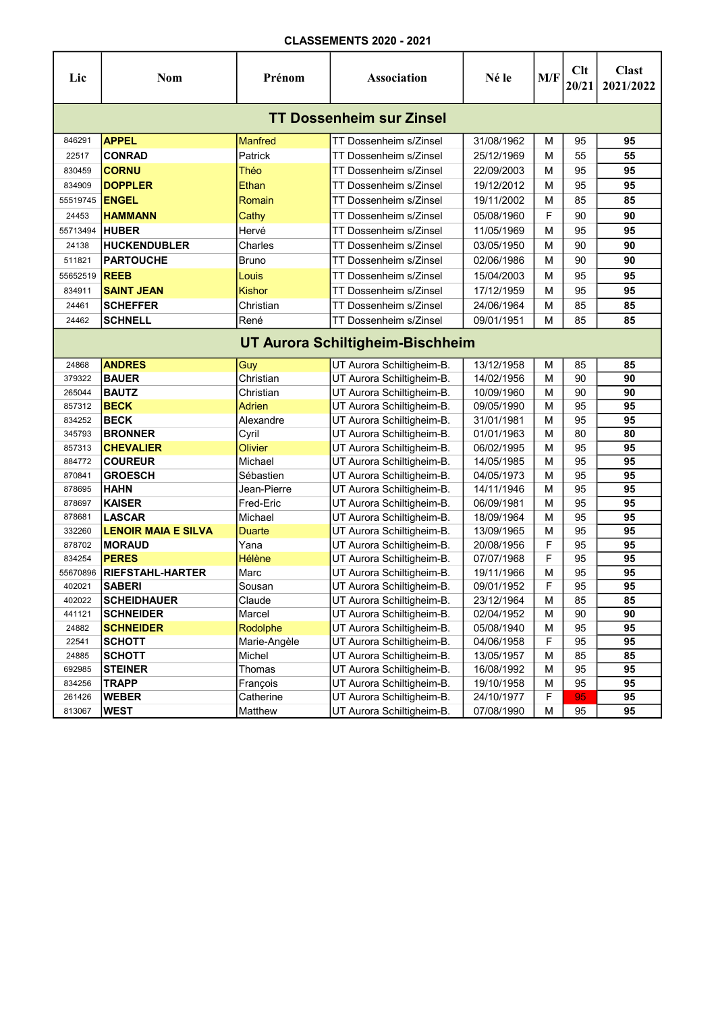| Lic                              | <b>Nom</b>                    | Prénom                   | <b>Association</b>                                     | Né le                    | M/F    | Clt<br>20/21 | <b>Clast</b><br>2021/2022 |  |  |  |  |
|----------------------------------|-------------------------------|--------------------------|--------------------------------------------------------|--------------------------|--------|--------------|---------------------------|--|--|--|--|
| <b>TT Dossenheim sur Zinsel</b>  |                               |                          |                                                        |                          |        |              |                           |  |  |  |  |
| 846291                           | <b>APPEL</b>                  | Manfred                  | TT Dossenheim s/Zinsel                                 | 31/08/1962               | м      | 95           | 95                        |  |  |  |  |
| 22517                            | <b>CONRAD</b>                 | Patrick                  | TT Dossenheim s/Zinsel                                 | 25/12/1969               | м      | 55           | 55                        |  |  |  |  |
| 830459                           | <b>CORNU</b>                  | Théo                     | TT Dossenheim s/Zinsel                                 | 22/09/2003               | М      | 95           | 95                        |  |  |  |  |
| 834909                           | <b>DOPPLER</b>                | Ethan                    | TT Dossenheim s/Zinsel                                 | 19/12/2012               | М      | 95           | 95                        |  |  |  |  |
| 55519745                         | <b>ENGEL</b>                  | Romain                   | TT Dossenheim s/Zinsel                                 | 19/11/2002               | м      | 85           | 85                        |  |  |  |  |
| 24453                            | <b>HAMMANN</b>                | Cathy                    | TT Dossenheim s/Zinsel                                 | 05/08/1960               | F      | 90           | 90                        |  |  |  |  |
| 55713494                         | <b>HUBER</b>                  | Hervé                    | TT Dossenheim s/Zinsel                                 | 11/05/1969               | м      | 95           | 95                        |  |  |  |  |
| 24138                            | <b>HUCKENDUBLER</b>           | Charles                  | TT Dossenheim s/Zinsel                                 | 03/05/1950               | м      | 90           | 90                        |  |  |  |  |
| 511821                           | <b>PARTOUCHE</b>              | <b>Bruno</b>             | TT Dossenheim s/Zinsel                                 | 02/06/1986               | м      | 90           | 90                        |  |  |  |  |
| 55652519                         | <b>REEB</b>                   | Louis                    | TT Dossenheim s/Zinsel                                 | 15/04/2003               | М      | 95           | 95                        |  |  |  |  |
| 834911                           | <b>SAINT JEAN</b>             | Kishor                   | TT Dossenheim s/Zinsel                                 | 17/12/1959               | М      | 95           | 95                        |  |  |  |  |
| 24461                            | <b>SCHEFFER</b>               | Christian                | TT Dossenheim s/Zinsel                                 | 24/06/1964               | м      | 85           | 85                        |  |  |  |  |
| 24462                            | <b>SCHNELL</b>                | René                     | TT Dossenheim s/Zinsel                                 | 09/01/1951               | м      | 85           | 85                        |  |  |  |  |
|                                  |                               |                          |                                                        |                          |        |              |                           |  |  |  |  |
| UT Aurora Schiltigheim-Bischheim |                               |                          |                                                        |                          |        |              |                           |  |  |  |  |
| 24868                            | <b>ANDRES</b>                 | <b>Guy</b>               | UT Aurora Schiltigheim-B.                              | 13/12/1958               | М      | 85           | 85                        |  |  |  |  |
| 379322                           | <b>BAUER</b>                  | Christian                | UT Aurora Schiltigheim-B.                              | 14/02/1956               | M      | 90           | 90                        |  |  |  |  |
| 265044                           | <b>BAUTZ</b>                  | Christian                | UT Aurora Schiltigheim-B.                              | 10/09/1960               | м      | 90           | 90                        |  |  |  |  |
| 857312                           | <b>BECK</b>                   | Adrien                   | UT Aurora Schiltigheim-B.                              | 09/05/1990               | М      | 95           | 95                        |  |  |  |  |
| 834252                           | <b>BECK</b>                   | Alexandre                | UT Aurora Schiltigheim-B.                              | 31/01/1981               | М      | 95           | 95                        |  |  |  |  |
| 345793                           | <b>BRONNER</b>                | Cyril                    | UT Aurora Schiltigheim-B.                              | 01/01/1963               | М      | 80           | 80                        |  |  |  |  |
| 857313                           | <b>CHEVALIER</b>              | <b>Olivier</b>           | UT Aurora Schiltigheim-B.                              | 06/02/1995               | М      | 95           | 95                        |  |  |  |  |
| 884772                           | <b>COUREUR</b>                | Michael                  | UT Aurora Schiltigheim-B.                              | 14/05/1985               | М      | 95           | 95<br>95                  |  |  |  |  |
| 870841<br>878695                 | <b>GROESCH</b><br><b>HAHN</b> | Sébastien<br>Jean-Pierre | UT Aurora Schiltigheim-B.<br>UT Aurora Schiltigheim-B. | 04/05/1973<br>14/11/1946 | М<br>м | 95<br>95     | 95                        |  |  |  |  |
| 878697                           | <b>KAISER</b>                 | Fred-Eric                | UT Aurora Schiltigheim-B.                              | 06/09/1981               | М      | 95           | 95                        |  |  |  |  |
| 878681                           | <b>LASCAR</b>                 | Michael                  | UT Aurora Schiltigheim-B.                              | 18/09/1964               | М      | 95           | 95                        |  |  |  |  |
| 332260                           | <b>LENOIR MAIA E SILVA</b>    | <b>Duarte</b>            | UT Aurora Schiltigheim-B.                              | 13/09/1965               | M      | 95           | 95                        |  |  |  |  |
| 878702                           | <b>MORAUD</b>                 | Yana                     | UT Aurora Schiltigheim-B.                              | 20/08/1956               | F      | 95           | 95                        |  |  |  |  |
| 834254                           | <b>PERES</b>                  | Hélène                   | UT Aurora Schiltigheim-B.                              | 07/07/1968               | F      | 95           | 95                        |  |  |  |  |
| 55670896                         | <b>RIEFSTAHL-HARTER</b>       | Marc                     | UT Aurora Schiltigheim-B.                              | 19/11/1966               | М      | 95           | 95                        |  |  |  |  |
| 402021                           | <b>SABERI</b>                 | Sousan                   | UT Aurora Schiltigheim-B.                              | 09/01/1952               | F      | 95           | 95                        |  |  |  |  |
| 402022                           | <b>SCHEIDHAUER</b>            | Claude                   | UT Aurora Schiltigheim-B.                              | 23/12/1964               | М      | 85           | 85                        |  |  |  |  |
| 441121                           | <b>SCHNEIDER</b>              | Marcel                   | UT Aurora Schiltigheim-B.                              | 02/04/1952               | M      | 90           | 90                        |  |  |  |  |
| 24882                            | <b>SCHNEIDER</b>              | Rodolphe                 | UT Aurora Schiltigheim-B.                              | 05/08/1940               | м      | 95           | 95                        |  |  |  |  |
| 22541                            | <b>SCHOTT</b>                 | Marie-Angèle             | UT Aurora Schiltigheim-B.                              | 04/06/1958               | F      | 95           | 95                        |  |  |  |  |
| 24885                            | <b>SCHOTT</b>                 | Michel                   | UT Aurora Schiltigheim-B.                              | 13/05/1957               | М      | 85           | 85                        |  |  |  |  |
| 692985                           | <b>STEINER</b>                | Thomas                   | UT Aurora Schiltigheim-B.                              | 16/08/1992               | М      | 95           | 95                        |  |  |  |  |
| 834256                           | <b>TRAPP</b>                  | François                 | UT Aurora Schiltigheim-B.                              | 19/10/1958               | М      | 95           | 95                        |  |  |  |  |
| 261426                           | <b>WEBER</b>                  | Catherine                | UT Aurora Schiltigheim-B.                              | 24/10/1977               | F      | 95           | 95                        |  |  |  |  |
| 813067                           | <b>WEST</b>                   | Matthew                  | UT Aurora Schiltigheim-B.                              | 07/08/1990               | M      | 95           | 95                        |  |  |  |  |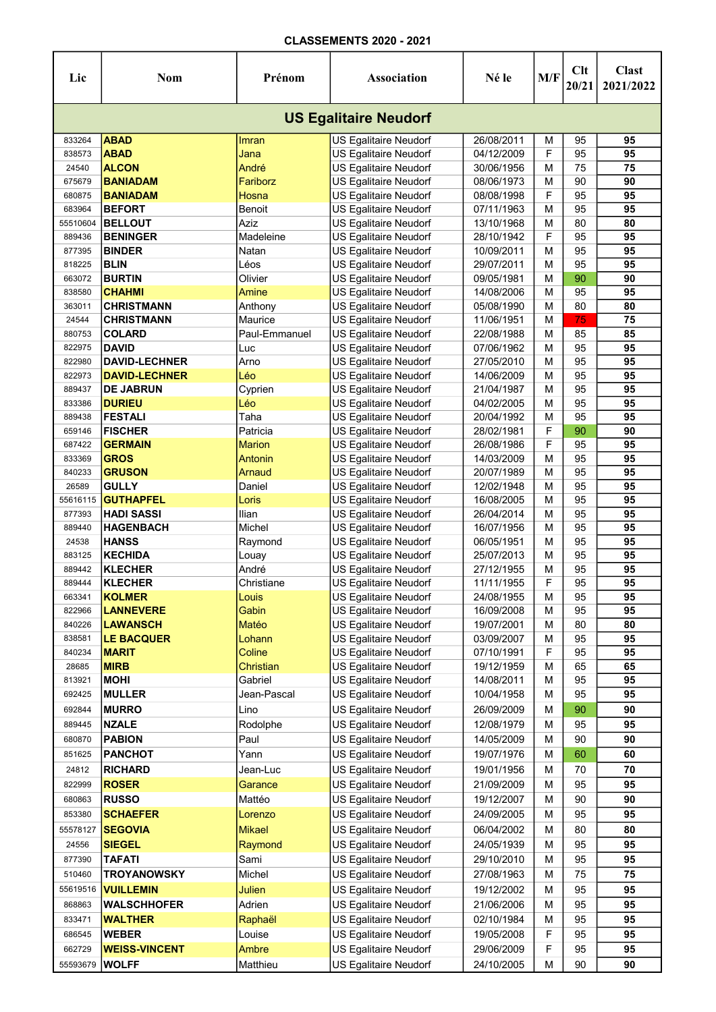| Lic                          | <b>Nom</b>                      | Prénom              | Association                                    | Né le                    | M/F    | Clt<br>20/21 | <b>Clast</b><br>2021/2022 |  |  |  |  |
|------------------------------|---------------------------------|---------------------|------------------------------------------------|--------------------------|--------|--------------|---------------------------|--|--|--|--|
| <b>US Egalitaire Neudorf</b> |                                 |                     |                                                |                          |        |              |                           |  |  |  |  |
| 833264                       | <b>ABAD</b>                     | Imran               | US Egalitaire Neudorf                          | 26/08/2011               | М      | 95           | 95                        |  |  |  |  |
| 838573                       | <b>ABAD</b>                     | Jana                | US Egalitaire Neudorf                          | 04/12/2009               | F      | 95           | 95                        |  |  |  |  |
| 24540                        | <b>ALCON</b>                    | André               | <b>US Egalitaire Neudorf</b>                   | 30/06/1956               | M      | 75           | 75                        |  |  |  |  |
| 675679                       | <b>BANIADAM</b>                 | Fariborz            | US Egalitaire Neudorf                          | 08/06/1973               | М      | 90           | 90                        |  |  |  |  |
| 680875                       | <b>BANIADAM</b>                 | <b>Hosna</b>        | US Egalitaire Neudorf                          | 08/08/1998               | F      | 95           | $\overline{95}$           |  |  |  |  |
| 683964                       | <b>BEFORT</b>                   | Benoit              | US Egalitaire Neudorf                          | 07/11/1963               | M      | 95           | 95                        |  |  |  |  |
| 55510604                     | <b>BELLOUT</b>                  | Aziz                | US Egalitaire Neudorf                          | 13/10/1968               | М      | 80           | 80                        |  |  |  |  |
| 889436                       | <b>BENINGER</b>                 | Madeleine           | US Egalitaire Neudorf                          | 28/10/1942               | F      | 95           | 95                        |  |  |  |  |
| 877395                       | <b>BINDER</b>                   | Natan               | US Egalitaire Neudorf                          | 10/09/2011               | м      | 95           | 95                        |  |  |  |  |
| 818225                       | <b>BLIN</b>                     | Léos                | US Egalitaire Neudorf                          | 29/07/2011               | м      | 95           | 95                        |  |  |  |  |
| 663072                       | <b>BURTIN</b>                   | Olivier             | US Egalitaire Neudorf                          | 09/05/1981               | м      | 90           | 90                        |  |  |  |  |
| 838580                       | <b>CHAHMI</b>                   | Amine               | US Egalitaire Neudorf                          | 14/08/2006               | м      | 95           | 95                        |  |  |  |  |
| 363011                       | <b>CHRISTMANN</b>               | Anthony             | US Egalitaire Neudorf                          | 05/08/1990               | м      | 80           | 80                        |  |  |  |  |
| 24544                        | <b>CHRISTMANN</b>               | Maurice             | US Egalitaire Neudorf                          | 11/06/1951               | M      | 75           | 75                        |  |  |  |  |
| 880753                       | <b>COLARD</b>                   | Paul-Emmanuel       | US Egalitaire Neudorf                          | 22/08/1988               | M      | 85           | 85                        |  |  |  |  |
| 822975                       | <b>DAVID</b>                    | Luc                 | US Egalitaire Neudorf                          | 07/06/1962               | M      | 95           | 95                        |  |  |  |  |
| 822980                       | <b>DAVID-LECHNER</b>            | Arno                | US Egalitaire Neudorf                          | 27/05/2010               | М      | 95           | 95                        |  |  |  |  |
| 822973                       | <b>DAVID-LECHNER</b>            | Léo                 | US Egalitaire Neudorf                          | 14/06/2009               | M      | 95           | 95                        |  |  |  |  |
| 889437                       | <b>DE JABRUN</b>                | Cyprien             | US Egalitaire Neudorf                          | 21/04/1987               | M      | 95           | 95                        |  |  |  |  |
| 833386                       | <b>DURIEU</b>                   | Léo                 | US Egalitaire Neudorf                          | 04/02/2005               | М      | 95           | 95                        |  |  |  |  |
| 889438                       | <b>FESTALI</b>                  | Taha                | US Egalitaire Neudorf                          | 20/04/1992               | M      | 95           | 95                        |  |  |  |  |
| 659146                       | <b>FISCHER</b>                  | Patricia            | <b>US Egalitaire Neudorf</b>                   | 28/02/1981               | F      | 90           | 90                        |  |  |  |  |
| 687422                       | <b>GERMAIN</b>                  | <b>Marion</b>       | US Egalitaire Neudorf                          | 26/08/1986               | F      | 95           | 95                        |  |  |  |  |
| 833369                       | <b>GROS</b>                     | Antonin             | US Egalitaire Neudorf                          | 14/03/2009               | м      | 95           | 95                        |  |  |  |  |
| 840233                       | <b>GRUSON</b>                   | Arnaud              | US Egalitaire Neudorf                          | 20/07/1989               | м      | 95           | 95                        |  |  |  |  |
| 26589                        | <b>GULLY</b>                    | Daniel              | US Egalitaire Neudorf                          | 12/02/1948               | м      | 95           | 95                        |  |  |  |  |
| 55616115                     | <b>GUTHAPFEL</b>                | Loris               | US Egalitaire Neudorf                          | 16/08/2005               | м      | 95           | 95                        |  |  |  |  |
| 877393                       | <b>HADI SASSI</b>               | llian               | US Egalitaire Neudorf                          | 26/04/2014               | M      | 95           | 95                        |  |  |  |  |
| 889440                       | <b>HAGENBACH</b>                | Michel              | US Egalitaire Neudorf                          | 16/07/1956               | M      | 95           | 95                        |  |  |  |  |
| 24538                        | <b>HANSS</b>                    | Raymond             | <b>US Egalitaire Neudorf</b>                   | 06/05/1951               | М      | 95           | 95                        |  |  |  |  |
| 883125                       | <b>KECHIDA</b>                  | Louay               | US Egalitaire Neudorf                          | 25/07/2013               | М      | 95           | 95                        |  |  |  |  |
| 889442                       | KLECHER                         | André               | US Egalitaire Neudorf                          | 27/12/1955               | М<br>F | 95           | 95                        |  |  |  |  |
| 889444                       | <b>KLECHER</b><br><b>KOLMER</b> | Christiane<br>Louis | US Egalitaire Neudorf<br>US Egalitaire Neudorf | 11/11/1955<br>24/08/1955 |        | 95           | 95<br>95                  |  |  |  |  |
| 663341<br>822966             | <b>LANNEVERE</b>                | Gabin               | <b>US Egalitaire Neudorf</b>                   |                          | М<br>M | 95<br>95     | 95                        |  |  |  |  |
| 840226                       | <b>LAWANSCH</b>                 | Matéo               | US Egalitaire Neudorf                          | 16/09/2008               |        |              |                           |  |  |  |  |
| 838581                       | <b>LE BACQUER</b>               | Lohann              | US Egalitaire Neudorf                          | 19/07/2001<br>03/09/2007 | М<br>М | 80<br>95     | 80<br>95                  |  |  |  |  |
| 840234                       | <b>MARIT</b>                    | Coline              | US Egalitaire Neudorf                          | 07/10/1991               | F      | 95           | 95                        |  |  |  |  |
| 28685                        | <b>MIRB</b>                     | Christian           | US Egalitaire Neudorf                          | 19/12/1959               | M      | 65           | 65                        |  |  |  |  |
| 813921                       | <b>MOHI</b>                     | Gabriel             | US Egalitaire Neudorf                          | 14/08/2011               | M      | 95           | 95                        |  |  |  |  |
| 692425                       | <b>MULLER</b>                   | Jean-Pascal         | US Egalitaire Neudorf                          | 10/04/1958               | M      | 95           | 95                        |  |  |  |  |
| 692844                       | <b>MURRO</b>                    | Lino                | US Egalitaire Neudorf                          | 26/09/2009               | М      | 90           | 90                        |  |  |  |  |
|                              |                                 |                     |                                                |                          |        |              | 95                        |  |  |  |  |
| 889445                       | <b>NZALE</b>                    | Rodolphe            | US Egalitaire Neudorf                          | 12/08/1979               | М      | 95           |                           |  |  |  |  |
| 680870                       | <b>PABION</b>                   | Paul                | <b>US Egalitaire Neudorf</b>                   | 14/05/2009               | М      | 90           | 90                        |  |  |  |  |
| 851625                       | <b>PANCHOT</b>                  | Yann                | US Egalitaire Neudorf                          | 19/07/1976               | М      | 60           | 60                        |  |  |  |  |
| 24812                        | <b>RICHARD</b>                  | Jean-Luc            | US Egalitaire Neudorf                          | 19/01/1956               | м      | 70           | $70\,$                    |  |  |  |  |
| 822999                       | <b>ROSER</b>                    | Garance             | US Egalitaire Neudorf                          | 21/09/2009               | M      | 95           | 95                        |  |  |  |  |
| 680863                       | <b>RUSSO</b>                    | Mattéo              | US Egalitaire Neudorf                          | 19/12/2007               | M      | 90           | 90                        |  |  |  |  |
| 853380                       | <b>SCHAEFER</b>                 | Lorenzo             | US Egalitaire Neudorf                          | 24/09/2005               | м      | 95           | 95                        |  |  |  |  |
| 55578127                     | <b>SEGOVIA</b>                  | <b>Mikael</b>       | US Egalitaire Neudorf                          | 06/04/2002               | М      | 80           | 80                        |  |  |  |  |
| 24556                        | <b>SIEGEL</b>                   | Raymond             | US Egalitaire Neudorf                          | 24/05/1939               | М      | 95           | 95                        |  |  |  |  |
| 877390                       | <b>TAFATI</b>                   | Sami                | US Egalitaire Neudorf                          | 29/10/2010               | М      | 95           | 95                        |  |  |  |  |
| 510460                       | <b>TROYANOWSKY</b>              | Michel              | US Egalitaire Neudorf                          | 27/08/1963               | м      | 75           | 75                        |  |  |  |  |
| 55619516                     | <b>VUILLEMIN</b>                | <b>Julien</b>       | US Egalitaire Neudorf                          | 19/12/2002               | M      | 95           | 95                        |  |  |  |  |
| 868863                       | <b>WALSCHHOFER</b>              | Adrien              | US Egalitaire Neudorf                          | 21/06/2006               | М      | 95           | 95                        |  |  |  |  |
| 833471                       | <b>WALTHER</b>                  | Raphaël             | US Egalitaire Neudorf                          | 02/10/1984               | М      | 95           | 95                        |  |  |  |  |
| 686545                       | <b>WEBER</b>                    | Louise              | US Egalitaire Neudorf                          | 19/05/2008               | F      | 95           | 95                        |  |  |  |  |
| 662729                       | <b>WEISS-VINCENT</b>            | <b>Ambre</b>        | US Egalitaire Neudorf                          | 29/06/2009               | F      | 95           | 95                        |  |  |  |  |
| 55593679                     | <b>WOLFF</b>                    | Matthieu            | US Egalitaire Neudorf                          | 24/10/2005               | M      | 90           | 90                        |  |  |  |  |
|                              |                                 |                     |                                                |                          |        |              |                           |  |  |  |  |